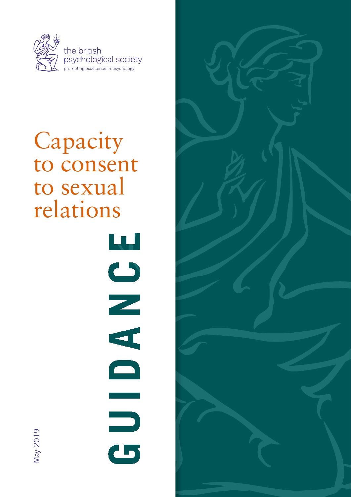

# Capacity to consent to sexual relations

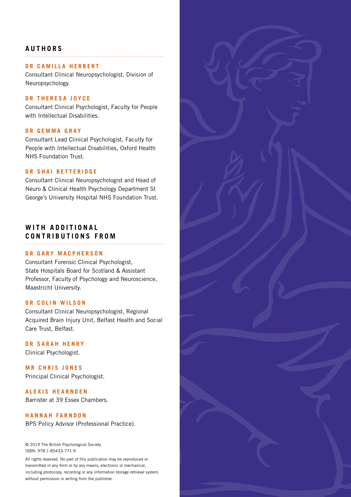#### **AUTHORS**

#### **DR CAMILLA HERBERT**

Consultant Clinical Neuropsychologist, Division of Neuropsychology.

#### **DR THERESA JOYCE**

Consultant Clinical Psychologist, Faculty for People with Intellectual Disabilities.

#### **D R G E M M A G R A Y**

Consultant Lead Clinical Psychologist, Faculty for People with Intellectual Disabilities, Oxford Health NHS Foundation Trust.

#### **DR SHAI BETTERIDGE**

Consultant Clinical Neuropsychologist and Head of Neuro & Clinical Health Psychology Department St George's University Hospital NHS Foundation Trust.

#### WITH ADDITIONAL **CONTRIBUTIONS FROM**

#### **DR GARY MACPHERSON**

Consultant Forensic Clinical Psychologist, State Hospitals Board for Scotland & Assistant Professor, Faculty of Psychology and Neuroscience, Maastricht University.

#### **DR COLIN WILSON**

Consultant Clinical Neuropsychologist, Regional Acquired Brain Injury Unit, Belfast Health and Social Care Trust, Belfast.

#### **DR SARAH HENRY**

Clinical Psychologist.

**MR CHRIS JONES** Principal Clinical Psychologist.

#### **ALEXIS HEARNDEN**

Barrister at 39 Essex Chambers.

#### **HANNAH FARNDON**

BPS Policy Advisor (Professional Practice).

© 2019 The British Psychological Society ISBN: 978-1-85433-771-9

All rights reserved. No part of this publication may be reproduced or transmitted in any form or by any means, electronic or mechanical, including photocopy, recording or any information storage retrieval system, without permission in writing from the publisher.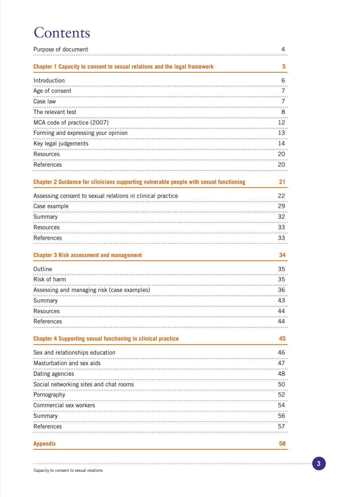# **Contents**

| Purpose of document                                                                    | 4  |
|----------------------------------------------------------------------------------------|----|
| Chapter 1 Capacity to consent to sexual relations and the legal framework              | 5  |
| Introduction                                                                           | 6  |
| Age of consent                                                                         | 7  |
| Case law                                                                               | 7  |
| The relevant test                                                                      | 8  |
| MCA code of practice (2007)                                                            | 12 |
| Forming and expressing your opinion                                                    | 13 |
| Key legal judgements                                                                   | 14 |
| Resources                                                                              | 20 |
| References                                                                             | 20 |
|                                                                                        |    |
| Chapter 2 Guidance for clinicians supporting vulnerable people with sexual functioning | 21 |
| Assessing consent to sexual relations in clinical practice                             | 22 |
| Case example                                                                           | 29 |
| Summary                                                                                | 32 |
| Resources                                                                              | 33 |
| References                                                                             | 33 |
|                                                                                        |    |
| <b>Chapter 3 Risk assessment and management</b>                                        | 34 |
| Outline                                                                                | 35 |
| Risk of harm                                                                           | 35 |
| Assessing and managing risk (case examples)                                            | 36 |
| Summary                                                                                | 43 |
| Resources                                                                              | 44 |
| References                                                                             | 44 |
|                                                                                        |    |
| <b>Chapter 4 Supporting sexual functioning in clinical practice</b>                    | 45 |
| Sex and relationships education                                                        | 46 |
| Masturbation and sex aids                                                              | 47 |
| Dating agencies                                                                        | 48 |
| Social networking sites and chat rooms                                                 | 50 |
| Pornography                                                                            | 52 |
| Commercial sex workers                                                                 | 54 |
| Summary                                                                                | 56 |
| References                                                                             | 57 |
|                                                                                        |    |
| <b>Appendix</b>                                                                        | 58 |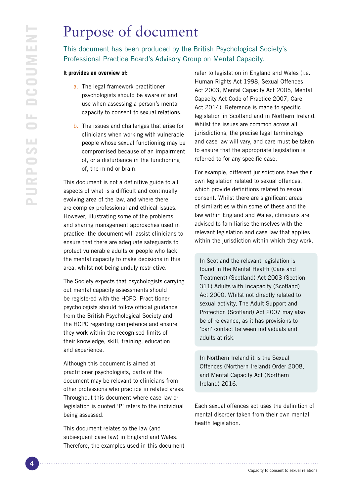# Purpose of document

This document has been produced by the British Psychological Society's Professional Practice Board's Advisory Group on Mental Capacity.

#### **It provides an overview of:**

- a. The legal framework practitioner psychologists should be aware of and use when assessing a person's mental capacity to consent to sexual relations.
- b. The issues and challenges that arise for clinicians when working with vulnerable people whose sexual functioning may be compromised because of an impairment of, or a disturbance in the functioning of, the mind or brain.

This document is not a definitive guide to all aspects of what is a difficult and continually evolving area of the law, and where there are complex professional and ethical issues. However, illustrating some of the problems and sharing management approaches used in practice, the document will assist clinicians to ensure that there are adequate safeguards to protect vulnerable adults or people who lack the mental capacity to make decisions in this area, whilst not being unduly restrictive.

The Society expects that psychologists carrying out mental capacity assessments should be registered with the HCPC. Practitioner psychologists should follow official guidance from the British Psychological Society and the HCPC regarding competence and ensure they work within the recognised limits of their knowledge, skill, training, education and experience.

Although this document is aimed at practitioner psychologists, parts of the document may be relevant to clinicians from other professions who practice in related areas. Throughout this document where case law or legislation is quoted 'P' refers to the individual being assessed.

This document relates to the law (and subsequent case law) in England and Wales. Therefore, the examples used in this document

refer to legislation in England and Wales (i.e. Human Rights Act 1998, Sexual Offences Act 2003, Mental Capacity Act 2005, Mental Capacity Act Code of Practice 2007, Care Act 2014). Reference is made to specific legislation in Scotland and in Northern Ireland. Whilst the issues are common across all jurisdictions, the precise legal terminology and case law will vary, and care must be taken to ensure that the appropriate legislation is referred to for any specific case.

For example, different jurisdictions have their own legislation related to sexual offences, which provide definitions related to sexual consent. Whilst there are significant areas of similarities within some of these and the law within England and Wales, clinicians are advised to familiarise themselves with the relevant legislation and case law that applies within the jurisdiction within which they work.

In Scotland the relevant legislation is found in the Mental Health (Care and Treatment) (Scotland) Act 2003 (Section 311) Adults with Incapacity (Scotland) Act 2000. Whilst not directly related to sexual activity, The Adult Support and Protection (Scotland) Act 2007 may also be of relevance, as it has provisions to 'ban' contact between individuals and adults at risk.

In Northern Ireland it is the Sexual Offences (Northern Ireland) Order 2008, and Mental Capacity Act (Northern Ireland) 2016.

Each sexual offences act uses the definition of mental disorder taken from their own mental health legislation.

Capacity to consent to sexual relations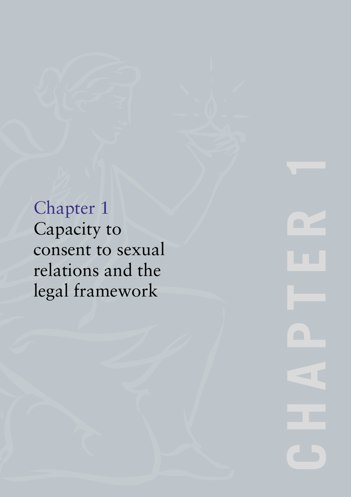Chapter 1 Capacity to consent to sexual relations and the legal framework

**CHAPTER**  $\blacksquare$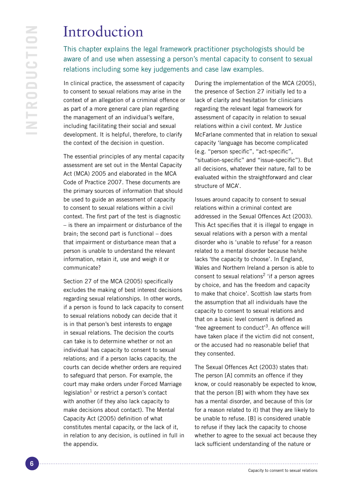# Introduction

This chapter explains the legal framework practitioner psychologists should be aware of and use when assessing a person's mental capacity to consent to sexual relations including some key judgements and case law examples.

In clinical practice, the assessment of capacity to consent to sexual relations may arise in the context of an allegation of a criminal offence or as part of a more general care plan regarding the management of an individual's welfare, including facilitating their social and sexual development. It is helpful, therefore, to clarify the context of the decision in question.

The essential principles of any mental capacity assessment are set out in the Mental Capacity Act (MCA) 2005 and elaborated in the MCA Code of Practice 2007. These documents are the primary sources of information that should be used to guide an assessment of capacity to consent to sexual relations within a civil context. The first part of the test is diagnostic – is there an impairment or disturbance of the brain; the second part is functional – does that impairment or disturbance mean that a person is unable to understand the relevant information, retain it, use and weigh it or communicate?

Section 27 of the MCA (2005) specifically excludes the making of best interest decisions regarding sexual relationships. In other words, if a person is found to lack capacity to consent to sexual relations nobody can decide that it is in that person's best interests to engage in sexual relations. The decision the courts can take is to determine whether or not an individual has capacity to consent to sexual relations; and if a person lacks capacity, the courts can decide whether orders are required to safeguard that person. For example, the court may make orders under Forced Marriage legislation<sup>1</sup> or restrict a person's contact with another (if they also lack capacity to make decisions about contact). The Mental Capacity Act (2005) definition of what constitutes mental capacity, or the lack of it, in relation to any decision, is outlined in full in the appendix.

During the implementation of the MCA (2005), the presence of Section 27 initially led to a lack of clarity and hesitation for clinicians regarding the relevant legal framework for assessment of capacity in relation to sexual relations within a civil context. Mr Justice McFarlane commented that in relation to sexual capacity 'language has become complicated (e.g. "person specific", "act-specific", "situation-specific" and "issue-specific"). But all decisions, whatever their nature, fall to be evaluated within the straightforward and clear structure of MCA'.

Issues around capacity to consent to sexual relations within a criminal context are addressed in the Sexual Offences Act (2003). This Act specifies that it is illegal to engage in sexual relations with a person with a mental disorder who is 'unable to refuse' for a reason related to a mental disorder because he/she lacks 'the capacity to choose'. In England, Wales and Northern Ireland a person is able to consent to sexual relations<sup>2</sup> 'if a person agrees by choice, and has the freedom and capacity to make that choice'. Scottish law starts from the assumption that all individuals have the capacity to consent to sexual relations and that on a basic level consent is defined as 'free agreement to conduct'3. An offence will have taken place if the victim did not consent, or the accused had no reasonable belief that they consented.

The Sexual Offences Act (2003) states that: The person [A] commits an offence if they know, or could reasonably be expected to know, that the person [B] with whom they have sex has a mental disorder, and because of this (or for a reason related to it) that they are likely to be unable to refuse. [B] is considered unable to refuse if they lack the capacity to choose whether to agree to the sexual act because they lack sufficient understanding of the nature or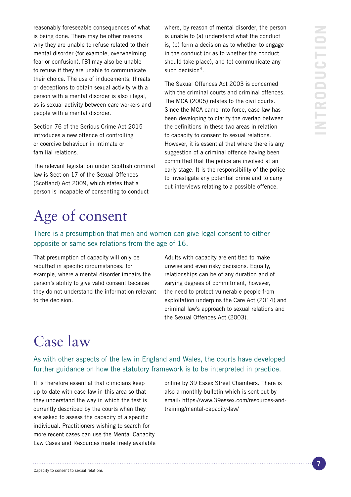reasonably foreseeable consequences of what is being done. There may be other reasons why they are unable to refuse related to their mental disorder (for example, overwhelming fear or confusion). [B] may also be unable to refuse if they are unable to communicate their choice. The use of inducements, threats or deceptions to obtain sexual activity with a person with a mental disorder is also illegal, as is sexual activity between care workers and people with a mental disorder.

Section 76 of the Serious Crime Act 2015 introduces a new offence of controlling or coercive behaviour in intimate or familial relations.

The relevant legislation under Scottish criminal law is Section 17 of the Sexual Offences (Scotland) Act 2009, which states that a person is incapable of consenting to conduct

where, by reason of mental disorder, the person is unable to (a) understand what the conduct is, (b) form a decision as to whether to engage in the conduct (or as to whether the conduct should take place), and (c) communicate any such decision $4$ .

The Sexual Offences Act 2003 is concerned with the criminal courts and criminal offences. The MCA (2005) relates to the civil courts. Since the MCA came into force, case law has been developing to clarify the overlap between the definitions in these two areas in relation to capacity to consent to sexual relations. However, it is essential that where there is any suggestion of a criminal offence having been committed that the police are involved at an early stage. It is the responsibility of the police to investigate any potential crime and to carry out interviews relating to a possible offence.

# Age of consent

There is a presumption that men and women can give legal consent to either opposite or same sex relations from the age of 16.

That presumption of capacity will only be rebutted in specific circumstances: for example, where a mental disorder impairs the person's ability to give valid consent because they do not understand the information relevant to the decision.

Adults with capacity are entitled to make unwise and even risky decisions. Equally, relationships can be of any duration and of varying degrees of commitment, however, the need to protect vulnerable people from exploitation underpins the Care Act (2014) and criminal law's approach to sexual relations and the Sexual Offences Act (2003).

# Case law

As with other aspects of the law in England and Wales, the courts have developed further guidance on how the statutory framework is to be interpreted in practice.

It is therefore essential that clinicians keep up-to-date with case law in this area so that they understand the way in which the test is currently described by the courts when they are asked to assess the capacity of a specific individual. Practitioners wishing to search for more recent cases can use the Mental Capacity Law Cases and Resources made freely available

online by 39 Essex Street Chambers. There is also a monthly bulletin which is sent out by email: https://www.39essex.com/resources-andtraining/mental-capacity-law/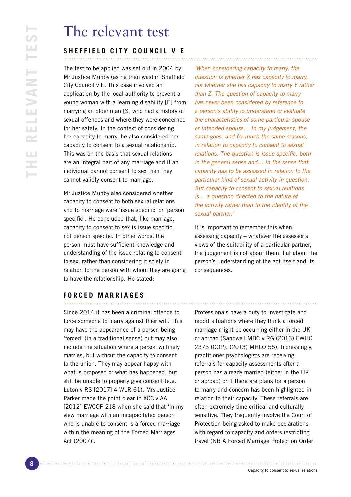# The relevant test

## **SHEFFIELD CITY COUNCIL V E**

The test to be applied was set out in 2004 by Mr Justice Munby (as he then was) in Sheffield City Council v E. This case involved an application by the local authority to prevent a young woman with a learning disability [E] from marrying an older man [S] who had a history of sexual offences and where they were concerned for her safety. In the context of considering her capacity to marry, he also considered her capacity to consent to a sexual relationship. This was on the basis that sexual relations are an integral part of any marriage and if an individual cannot consent to sex then they cannot validly consent to marriage.

Mr Justice Munby also considered whether capacity to consent to both sexual relations and to marriage were 'issue specific' or 'person specific'. He concluded that, like marriage, capacity to consent to sex is issue specific, not person specific. In other words, the person must have sufficient knowledge and understanding of the issue relating to consent to sex, rather than considering it solely in relation to the person with whom they are going to have the relationship. He stated:

'When considering capacity to marry, the question is whether X has capacity to marry, not whether she has capacity to marry Y rather than Z. The question of capacity to marry has never been considered by reference to a person's ability to understand or evaluate the characteristics of some particular spouse or intended spouse… In my judgement, the same goes, and for much the same reasons, in relation to capacity to consent to sexual relations. The question is issue specific, both in the general sense and… in the sense that capacity has to be assessed in relation to the particular kind of sexual activity in question. But capacity to consent to sexual relations is… a question directed to the nature of the activity rather than to the identity of the sexual partner.'

It is important to remember this when assessing capacity – whatever the assessor's views of the suitability of a particular partner, the judgement is not about them, but about the person's understanding of the act itself and its consequences.

### **F O R C E D M A R R I A G E S**

Since 2014 it has been a criminal offence to force someone to marry against their will. This may have the appearance of a person being 'forced' (in a traditional sense) but may also include the situation where a person willingly marries, but without the capacity to consent to the union. They may appear happy with what is proposed or what has happened, but still be unable to properly give consent (e.g. Luton v RS [2017] 4 WLR 61). Mrs Justice Parker made the point clear in XCC v AA [2012] EWCOP 218 when she said that 'in my view marriage with an incapacitated person who is unable to consent is a forced marriage within the meaning of the Forced Marriages Act (2007)'.

Professionals have a duty to investigate and report situations where they think a forced marriage might be occurring either in the UK or abroad (Sandwell MBC v RG (2013) EWHC 2373 (COP), (2013) MHLO 55). Increasingly, practitioner psychologists are receiving referrals for capacity assessments after a person has already married (either in the UK or abroad) or if there are plans for a person to marry and concern has been highlighted in relation to their capacity. These referrals are often extremely time critical and culturally sensitive. They frequently involve the Court of Protection being asked to make declarations with regard to capacity and orders restricting travel (NB A Forced Marriage Protection Order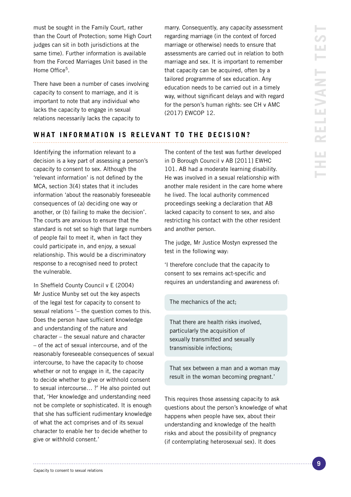must be sought in the Family Court, rather than the Court of Protection; some High Court judges can sit in both jurisdictions at the same time). Further information is available from the Forced Marriages Unit based in the Home Office<sup>5</sup>

There have been a number of cases involving capacity to consent to marriage, and it is important to note that any individual who lacks the capacity to engage in sexual relations necessarily lacks the capacity to

marry. Consequently, any capacity assessment regarding marriage (in the context of forced marriage or otherwise) needs to ensure that assessments are carried out in relation to both marriage and sex. It is important to remember that capacity can be acquired, often by a tailored programme of sex education. Any education needs to be carried out in a timely way, without significant delays and with regard for the person's human rights: see CH v AMC (2017) EWCOP 12.

### WHAT INFORMATION IS RELEVANT TO THE DECISION?

Identifying the information relevant to a decision is a key part of assessing a person's capacity to consent to sex. Although the 'relevant information' is not defined by the MCA, section 3(4) states that it includes information 'about the reasonably foreseeable consequences of (a) deciding one way or another, or (b) failing to make the decision'. The courts are anxious to ensure that the standard is not set so high that large numbers of people fail to meet it, when in fact they could participate in, and enjoy, a sexual relationship. This would be a discriminatory response to a recognised need to protect the vulnerable.

In Sheffield County Council v E (2004) Mr Justice Munby set out the key aspects of the legal test for capacity to consent to sexual relations '– the question comes to this. Does the person have sufficient knowledge and understanding of the nature and character – the sexual nature and character – of the act of sexual intercourse, and of the reasonably foreseeable consequences of sexual intercourse, to have the capacity to choose whether or not to engage in it, the capacity to decide whether to give or withhold consent to sexual intercourse… ?' He also pointed out that, 'Her knowledge and understanding need not be complete or sophisticated. It is enough that she has sufficient rudimentary knowledge of what the act comprises and of its sexual character to enable her to decide whether to give or withhold consent.'

The content of the test was further developed in D Borough Council v AB [2011] EWHC 101. AB had a moderate learning disability. He was involved in a sexual relationship with another male resident in the care home where he lived. The local authority commenced proceedings seeking a declaration that AB lacked capacity to consent to sex, and also restricting his contact with the other resident and another person.

The judge, Mr Justice Mostyn expressed the test in the following way:

'I therefore conclude that the capacity to consent to sex remains act-specific and requires an understanding and awareness of:

#### The mechanics of the act;

That there are health risks involved, particularly the acquisition of sexually transmitted and sexually transmissible infections;

That sex between a man and a woman may result in the woman becoming pregnant.'

This requires those assessing capacity to ask questions about the person's knowledge of what happens when people have sex, about their understanding and knowledge of the health risks and about the possibility of pregnancy (if contemplating heterosexual sex). It does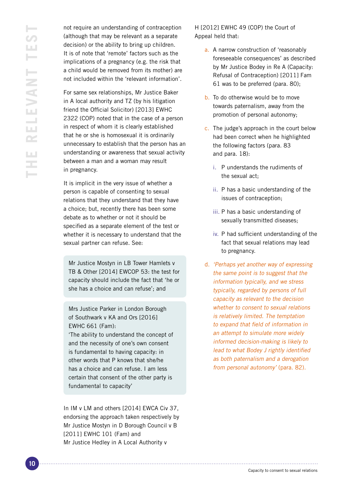not require an understanding of contraception (although that may be relevant as a separate decision) or the ability to bring up children. It is of note that 'remote' factors such as the implications of a pregnancy (e.g. the risk that a child would be removed from its mother) are not included within the 'relevant information'.

For same sex relationships, Mr Justice Baker in A local authority and TZ (by his litigation friend the Official Solicitor) [2013] EWHC 2322 (COP) noted that in the case of a person in respect of whom it is clearly established that he or she is homosexual it is ordinarily unnecessary to establish that the person has an understanding or awareness that sexual activity between a man and a woman may result in pregnancy.

It is implicit in the very issue of whether a person is capable of consenting to sexual relations that they understand that they have a choice; but, recently there has been some debate as to whether or not it should be specified as a separate element of the test or whether it is necessary to understand that the sexual partner can refuse. See:

Mr Justice Mostyn in LB Tower Hamlets v TB & Other [2014] EWCOP 53: the test for capacity should include the fact that 'he or she has a choice and can refuse'; and

Mrs Justice Parker in London Borough of Southwark v KA and Ors [2016] EWHC 661 (Fam):

'The ability to understand the concept of and the necessity of one's own consent is fundamental to having capacity: in other words that P knows that she/he has a choice and can refuse. I am less certain that consent of the other party is fundamental to capacity'

In IM v LM and others [2014] EWCA Civ 37, endorsing the approach taken respectively by Mr Justice Mostyn in D Borough Council v B [2011] EWHC 101 (Fam) and Mr Justice Hedley in A Local Authority v

H [2012] EWHC 49 (COP) the Court of Appeal held that:

- a. A narrow construction of 'reasonably foreseeable consequences' as described by Mr Justice Bodey in Re A (Capacity: Refusal of Contraception) [2011] Fam 61 was to be preferred (para. 80);
- b. To do otherwise would be to move towards paternalism, away from the promotion of personal autonomy;
- c. The judge's approach in the court below had been correct when he highlighted the following factors (para. 83 and para. 18):
	- i. P understands the rudiments of the sexual act;
	- ii. P has a basic understanding of the issues of contraception;
	- iii. P has a basic understanding of sexually transmitted diseases;
	- iv. P had sufficient understanding of the fact that sexual relations may lead to pregnancy.
- d. 'Perhaps yet another way of expressing the same point is to suggest that the information typically, and we stress typically, regarded by persons of full capacity as relevant to the decision whether to consent to sexual relations is relatively limited. The temptation to expand that field of information in an attempt to simulate more widely informed decision-making is likely to lead to what Bodey J rightly identified as both paternalism and a derogation from personal autonomy' (para. 82).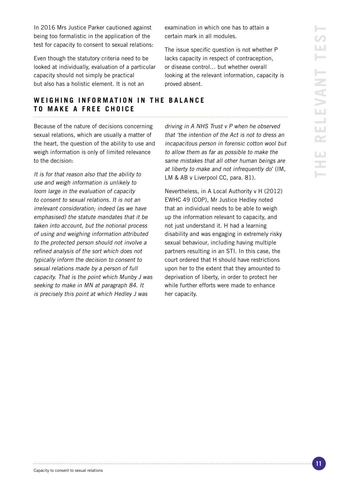**vant test** Ш H. LEVANT **The rele** LL.  $\sim$ ЦÚ, ż,

In 2016 Mrs Justice Parker cautioned against being too formalistic in the application of the test for capacity to consent to sexual relations:

Even though the statutory criteria need to be looked at individually, evaluation of a particular capacity should not simply be practical but also has a holistic element. It is not an

examination in which one has to attain a certain mark in all modules.

The issue specific question is not whether P lacks capacity in respect of contraception, or disease control… but whether overall looking at the relevant information, capacity is proved absent.

#### **WEIGHING INFORMATION IN THE BALANCE TO MAKE A FREE CHOICE**

Because of the nature of decisions concerning sexual relations, which are usually a matter of the heart, the question of the ability to use and weigh information is only of limited relevance to the decision:

It is for that reason also that the ability to use and weigh information is unlikely to loom large in the evaluation of capacity to consent to sexual relations. It is not an irrelevant consideration; indeed (as we have emphasised) the statute mandates that it be taken into account, but the notional process of using and weighing information attributed to the protected person should not involve a refined analysis of the sort which does not typically inform the decision to consent to sexual relations made by a person of full capacity. That is the point which Munby J was seeking to make in MN at paragraph 84. It is precisely this point at which Hedley J was

driving in A NHS Trust v P when he observed that 'the intention of the Act is not to dress an incapacitous person in forensic cotton wool but to allow them as far as possible to make the same mistakes that all other human beings are at liberty to make and not infrequently do' (IM, LM & AB v Liverpool CC, para. 81).

Nevertheless, in A Local Authority v H (2012) EWHC 49 (COP), Mr Justice Hedley noted that an individual needs to be able to weigh up the information relevant to capacity, and not just understand it. H had a learning disability and was engaging in extremely risky sexual behaviour, including having multiple partners resulting in an STI. In this case, the court ordered that H should have restrictions upon her to the extent that they amounted to deprivation of liberty, in order to protect her while further efforts were made to enhance her capacity.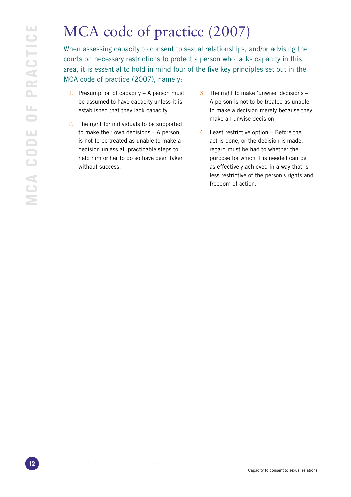# MCA code of practice (2007)

When assessing capacity to consent to sexual relationships, and/or advising the courts on necessary restrictions to protect a person who lacks capacity in this area, it is essential to hold in mind four of the five key principles set out in the MCA code of practice (2007), namely:

- 1. Presumption of capacity A person must be assumed to have capacity unless it is established that they lack capacity.
- 2. The right for individuals to be supported to make their own decisions – A person is not to be treated as unable to make a decision unless all practicable steps to help him or her to do so have been taken without success.
- 3. The right to make 'unwise' decisions A person is not to be treated as unable to make a decision merely because they make an unwise decision.
- 4. Least restrictive option Before the act is done, or the decision is made, regard must be had to whether the purpose for which it is needed can be as effectively achieved in a way that is less restrictive of the person's rights and freedom of action.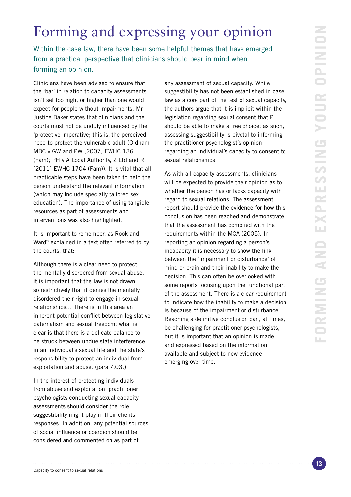# Forming and expressing your opinion

Within the case law, there have been some helpful themes that have emerged from a practical perspective that clinicians should bear in mind when forming an opinion.

Clinicians have been advised to ensure that the 'bar' in relation to capacity assessments isn't set too high, or higher than one would expect for people without impairments. Mr Justice Baker states that clinicians and the courts must not be unduly influenced by the 'protective imperative; this is, the perceived need to protect the vulnerable adult (Oldham MBC v GW and PW [2007] EWHC 136 (Fam); PH v A Local Authority, Z Ltd and R [2011] EWHC 1704 (Fam)). It is vital that all practicable steps have been taken to help the person understand the relevant information (which may include specially tailored sex education). The importance of using tangible resources as part of assessments and interventions was also highlighted.

It is important to remember, as Rook and Ward<sup>6</sup> explained in a text often referred to by the courts, that:

Although there is a clear need to protect the mentally disordered from sexual abuse, it is important that the law is not drawn so restrictively that it denies the mentally disordered their right to engage in sexual relationships… There is in this area an inherent potential conflict between legislative paternalism and sexual freedom; what is clear is that there is a delicate balance to be struck between undue state interference in an individual's sexual life and the state's responsibility to protect an individual from exploitation and abuse. (para 7.03.)

In the interest of protecting individuals from abuse and exploitation, practitioner psychologists conducting sexual capacity assessments should consider the role suggestibility might play in their clients' responses. In addition, any potential sources of social influence or coercion should be considered and commented on as part of

any assessment of sexual capacity. While suggestibility has not been established in case law as a core part of the test of sexual capacity, the authors argue that it is implicit within the legislation regarding sexual consent that P should be able to make a free choice; as such, assessing suggestibility is pivotal to informing the practitioner psychologist's opinion regarding an individual's capacity to consent to sexual relationships.

As with all capacity assessments, clinicians will be expected to provide their opinion as to whether the person has or lacks capacity with regard to sexual relations. The assessment report should provide the evidence for how this conclusion has been reached and demonstrate that the assessment has complied with the requirements within the MCA (2005). In reporting an opinion regarding a person's incapacity it is necessary to show the link between the 'impairment or disturbance' of mind or brain and their inability to make the decision. This can often be overlooked with some reports focusing upon the functional part of the assessment. There is a clear requirement to indicate how the inability to make a decision is because of the impairment or disturbance. Reaching a definitive conclusion can, at times, be challenging for practitioner psychologists, but it is important that an opinion is made and expressed based on the information available and subject to new evidence emerging over time.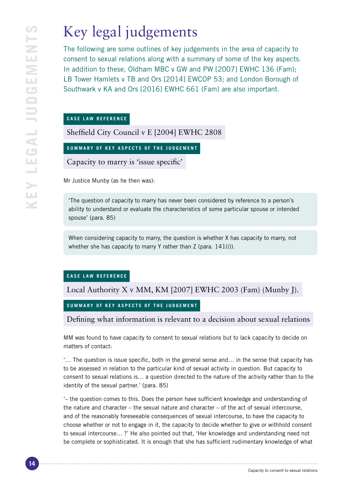# Key legal judgements

The following are some outlines of key judgements in the area of capacity to consent to sexual relations along with a summary of some of the key aspects. In addition to these, Oldham MBC v GW and PW [2007] EWHC 136 (Fam); LB Tower Hamlets v TB and Ors [2014] EWCOP 53; and London Borough of Southwark v KA and Ors [2016] EWHC 661 (Fam) are also important.

#### **CASE LAW REFERENCE**

Sheffield City Council v E [2004] EWHC 2808

**SUMMARY OF KEY ASPECTS OF THE JUDGEMENT**

Capacity to marry is 'issue specific'

Mr Justice Munby (as he then was):

'The question of capacity to marry has never been considered by reference to a person's ability to understand or evaluate the characteristics of some particular spouse or intended spouse' (para. 85)

When considering capacity to marry, the question is whether X has capacity to marry, not whether she has capacity to marry Y rather than Z (para. 141(i)).

#### **CASE LAW REFERENCE**

Local Authority X v MM, KM [2007] EWHC 2003 (Fam) (Munby J).

### **SUMMARY OF KEY ASPECTS OF THE JUDGEMENT**

Defining what information is relevant to a decision about sexual relations

MM was found to have capacity to consent to sexual relations but to lack capacity to decide on matters of contact:

'… The question is issue specific, both in the general sense and… in the sense that capacity has to be assessed in relation to the particular kind of sexual activity in question. But capacity to consent to sexual relations is… a question directed to the nature of the activity rather than to the identity of the sexual partner.' (para. 85)

'– the question comes to this. Does the person have sufficient knowledge and understanding of the nature and character – the sexual nature and character – of the act of sexual intercourse, and of the reasonably foreseeable consequences of sexual intercourse, to have the capacity to choose whether or not to engage in it, the capacity to decide whether to give or withhold consent to sexual intercourse… ?' He also pointed out that, 'Her knowledge and understanding need not be complete or sophisticated. It is enough that she has sufficient rudimentary knowledge of what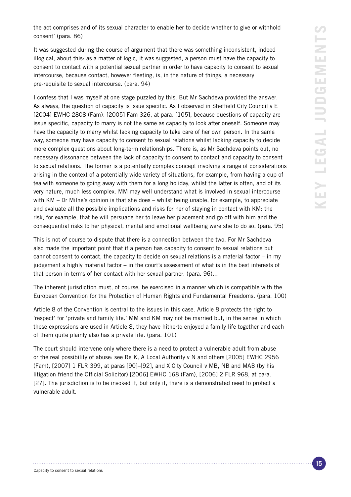the act comprises and of its sexual character to enable her to decide whether to give or withhold consent' (para. 86)

It was suggested during the course of argument that there was something inconsistent, indeed illogical, about this: as a matter of logic, it was suggested, a person must have the capacity to consent to contact with a potential sexual partner in order to have capacity to consent to sexual intercourse, because contact, however fleeting, is, in the nature of things, a necessary pre-requisite to sexual intercourse. (para. 94)

I confess that I was myself at one stage puzzled by this. But Mr Sachdeva provided the answer. As always, the question of capacity is issue specific. As I observed in Sheffield City Council v E [2004] EWHC 2808 (Fam). [2005] Fam 326, at para. [105], because questions of capacity are issue specific, capacity to marry is not the same as capacity to look after oneself. Someone may have the capacity to marry whilst lacking capacity to take care of her own person. In the same way, someone may have capacity to consent to sexual relations whilst lacking capacity to decide more complex questions about long-term relationships. There is, as Mr Sachdeva points out, no necessary dissonance between the lack of capacity to consent to contact and capacity to consent to sexual relations. The former is a potentially complex concept involving a range of considerations arising in the context of a potentially wide variety of situations, for example, from having a cup of tea with someone to going away with them for a long holiday, whilst the latter is often, and of its very nature, much less complex. MM may well understand what is involved in sexual intercourse with KM – Dr Milne's opinion is that she does – whilst being unable, for example, to appreciate and evaluate all the possible implications and risks for her of staying in contact with KM: the risk, for example, that he will persuade her to leave her placement and go off with him and the consequential risks to her physical, mental and emotional wellbeing were she to do so. (para. 95)

This is not of course to dispute that there is a connection between the two. For Mr Sachdeva also made the important point that if a person has capacity to consent to sexual relations but cannot consent to contact, the capacity to decide on sexual relations is a material factor – in my judgement a highly material factor – in the court's assessment of what is in the best interests of that person in terms of her contact with her sexual partner. (para. 96)...

The inherent jurisdiction must, of course, be exercised in a manner which is compatible with the European Convention for the Protection of Human Rights and Fundamental Freedoms. (para. 100)

Article 8 of the Convention is central to the issues in this case. Article 8 protects the right to 'respect' for 'private and family life.' MM and KM may not be married but, in the sense in which these expressions are used in Article 8, they have hitherto enjoyed a family life together and each of them quite plainly also has a private life. (para. 101)

The court should intervene only where there is a need to protect a vulnerable adult from abuse or the real possibility of abuse: see Re K, A Local Authority v N and others [2005] EWHC 2956 (Fam), [2007] 1 FLR 399, at paras [90]–[92], and X City Council v MB, NB and MAB (by his litigation friend the Official Solicitor) [2006] EWHC 168 (Fam), [2006] 2 FLR 968, at para. [27]. The jurisdiction is to be invoked if, but only if, there is a demonstrated need to protect a vulnerable adult.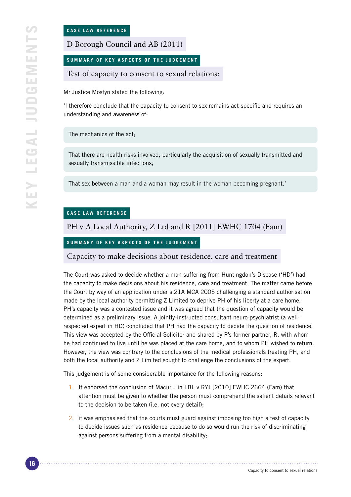D Borough Council and AB (2011)

**SUMMARY OF KEY ASPECTS OF THE JUDGEMENT**

Test of capacity to consent to sexual relations:

Mr Justice Mostyn stated the following:

'I therefore conclude that the capacity to consent to sex remains act-specific and requires an understanding and awareness of:

The mechanics of the act;

That there are health risks involved, particularly the acquisition of sexually transmitted and sexually transmissible infections;

That sex between a man and a woman may result in the woman becoming pregnant.'

#### **CASE LAW REFERENCE**

PH v A Local Authority, Z Ltd and R [2011] EWHC 1704 (Fam)

#### **SUMMARY OF KEY ASPECTS OF THE JUDGEMENT**

Capacity to make decisions about residence, care and treatment

The Court was asked to decide whether a man suffering from Huntingdon's Disease ('HD') had the capacity to make decisions about his residence, care and treatment. The matter came before the Court by way of an application under s.21A MCA 2005 challenging a standard authorisation made by the local authority permitting Z Limited to deprive PH of his liberty at a care home. PH's capacity was a contested issue and it was agreed that the question of capacity would be determined as a preliminary issue. A jointly-instructed consultant neuro-psychiatrist (a wellrespected expert in HD) concluded that PH had the capacity to decide the question of residence. This view was accepted by the Official Solicitor and shared by P's former partner, R, with whom he had continued to live until he was placed at the care home, and to whom PH wished to return. However, the view was contrary to the conclusions of the medical professionals treating PH, and both the local authority and Z Limited sought to challenge the conclusions of the expert.

This judgement is of some considerable importance for the following reasons:

- 1. It endorsed the conclusion of Macur J in LBL v RYJ [2010] EWHC 2664 (Fam) that attention must be given to whether the person must comprehend the salient details relevant to the decision to be taken (i.e. not every detail);
- 2. it was emphasised that the courts must guard against imposing too high a test of capacity to decide issues such as residence because to do so would run the risk of discriminating against persons suffering from a mental disability;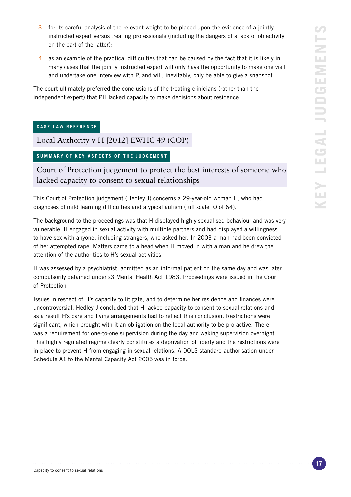- 3. for its careful analysis of the relevant weight to be placed upon the evidence of a jointly instructed expert versus treating professionals (including the dangers of a lack of objectivity on the part of the latter);
- 4. as an example of the practical difficulties that can be caused by the fact that it is likely in many cases that the jointly instructed expert will only have the opportunity to make one visit and undertake one interview with P, and will, inevitably, only be able to give a snapshot.

The court ultimately preferred the conclusions of the treating clinicians (rather than the independent expert) that PH lacked capacity to make decisions about residence.

#### **CASE LAW REFERENCE**

Local Authority v H [2012] EWHC 49 (COP)

#### **SUMMARY OF KEY ASPECTS OF THE JUDGEMENT**

Court of Protection judgement to protect the best interests of someone who lacked capacity to consent to sexual relationships

This Court of Protection judgement (Hedley J) concerns a 29-year-old woman H, who had diagnoses of mild learning difficulties and atypical autism (full scale IQ of 64).

The background to the proceedings was that H displayed highly sexualised behaviour and was very vulnerable. H engaged in sexual activity with multiple partners and had displayed a willingness to have sex with anyone, including strangers, who asked her. In 2003 a man had been convicted of her attempted rape. Matters came to a head when H moved in with a man and he drew the attention of the authorities to H's sexual activities.

H was assessed by a psychiatrist, admitted as an informal patient on the same day and was later compulsorily detained under s3 Mental Health Act 1983. Proceedings were issued in the Court of Protection.

Issues in respect of H's capacity to litigate, and to determine her residence and finances were uncontroversial. Hedley J concluded that H lacked capacity to consent to sexual relations and as a result H's care and living arrangements had to reflect this conclusion. Restrictions were significant, which brought with it an obligation on the local authority to be pro-active. There was a requirement for one-to-one supervision during the day and waking supervision overnight. This highly regulated regime clearly constitutes a deprivation of liberty and the restrictions were in place to prevent H from engaging in sexual relations. A DOLS standard authorisation under Schedule A1 to the Mental Capacity Act 2005 was in force.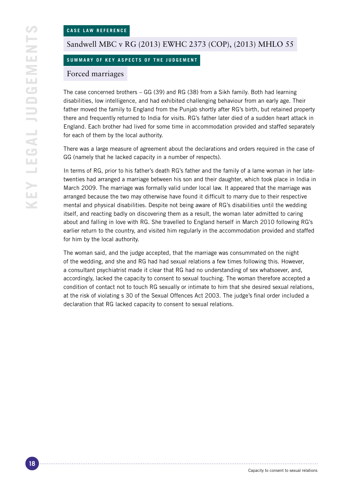#### Sandwell MBC v RG (2013) EWHC 2373 (COP), (2013) MHLO 55

#### **SUMMARY OF KEY ASPECTS OF THE JUDGEMENT**

#### Forced marriages

The case concerned brothers – GG (39) and RG (38) from a Sikh family. Both had learning disabilities, low intelligence, and had exhibited challenging behaviour from an early age. Their father moved the family to England from the Punjab shortly after RG's birth, but retained property there and frequently returned to India for visits. RG's father later died of a sudden heart attack in England. Each brother had lived for some time in accommodation provided and staffed separately for each of them by the local authority.

There was a large measure of agreement about the declarations and orders required in the case of GG (namely that he lacked capacity in a number of respects).

In terms of RG, prior to his father's death RG's father and the family of a lame woman in her latetwenties had arranged a marriage between his son and their daughter, which took place in India in March 2009. The marriage was formally valid under local law. It appeared that the marriage was arranged because the two may otherwise have found it difficult to marry due to their respective mental and physical disabilities. Despite not being aware of RG's disabilities until the wedding itself, and reacting badly on discovering them as a result, the woman later admitted to caring about and falling in love with RG. She travelled to England herself in March 2010 following RG's earlier return to the country, and visited him regularly in the accommodation provided and staffed for him by the local authority.

The woman said, and the judge accepted, that the marriage was consummated on the night of the wedding, and she and RG had had sexual relations a few times following this. However, a consultant psychiatrist made it clear that RG had no understanding of sex whatsoever, and, accordingly, lacked the capacity to consent to sexual touching. The woman therefore accepted a condition of contact not to touch RG sexually or intimate to him that she desired sexual relations, at the risk of violating s 30 of the Sexual Offences Act 2003. The judge's final order included a declaration that RG lacked capacity to consent to sexual relations.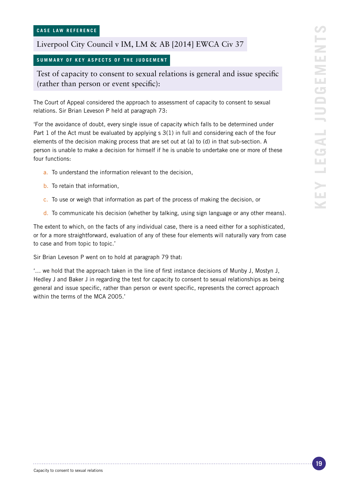### Liverpool City Council v IM, LM & AB [2014] EWCA Civ 37

#### **SUMMARY OF KEY ASPECTS OF THE JUDGEMENT**

Test of capacity to consent to sexual relations is general and issue specific (rather than person or event specific):

The Court of Appeal considered the approach to assessment of capacity to consent to sexual relations. Sir Brian Leveson P held at paragraph 73:

'For the avoidance of doubt, every single issue of capacity which falls to be determined under Part 1 of the Act must be evaluated by applying s 3(1) in full and considering each of the four elements of the decision making process that are set out at (a) to (d) in that sub-section. A person is unable to make a decision for himself if he is unable to undertake one or more of these four functions:

- a. To understand the information relevant to the decision,
- b. To retain that information,
- c. To use or weigh that information as part of the process of making the decision, or
- d. To communicate his decision (whether by talking, using sign language or any other means).

The extent to which, on the facts of any individual case, there is a need either for a sophisticated, or for a more straightforward, evaluation of any of these four elements will naturally vary from case to case and from topic to topic.'

Sir Brian Leveson P went on to hold at paragraph 79 that:

'… we hold that the approach taken in the line of first instance decisions of Munby J, Mostyn J, Hedley J and Baker J in regarding the test for capacity to consent to sexual relationships as being general and issue specific, rather than person or event specific, represents the correct approach within the terms of the MCA 2005.'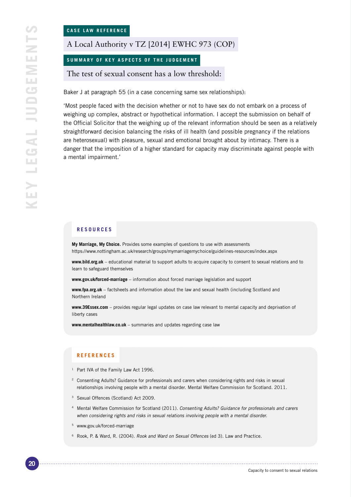A Local Authority v TZ [2014] EWHC 973 (COP)

**SUMMARY OF KEY ASPECTS OF THE JUDGEMENT**

The test of sexual consent has a low threshold:

Baker J at paragraph 55 (in a case concerning same sex relationships):

'Most people faced with the decision whether or not to have sex do not embark on a process of weighing up complex, abstract or hypothetical information. I accept the submission on behalf of the Official Solicitor that the weighing up of the relevant information should be seen as a relatively straightforward decision balancing the risks of ill health (and possible pregnancy if the relations are heterosexual) with pleasure, sexual and emotional brought about by intimacy. There is a danger that the imposition of a higher standard for capacity may discriminate against people with a mental impairment.'

#### **RESOURCES**

**My Marriage, My Choice.** Provides some examples of questions to use with assessments https://www.nottingham.ac.uk/research/groups/mymarriagemychoice/guidelines-resources/index.aspx

**www.bild.org.uk** – educational material to support adults to acquire capacity to consent to sexual relations and to learn to safeguard themselves

**www.gov.uk/forced-marriage** – information about forced marriage legislation and support

**www.fpa.org.uk** – factsheets and information about the law and sexual health (including Scotland and Northern Ireland

**www.39Essex.com** – provides regular legal updates on case law relevant to mental capacity and deprivation of liberty cases

**www.mentalhealthlaw.co.uk** – summaries and updates regarding case law

#### **REFERENCES**

- <sup>1</sup> Part IVA of the Family Law Act 1996.
- <sup>2</sup> Consenting Adults? Guidance for professionals and carers when considering rights and risks in sexual relationships involving people with a mental disorder. Mental Welfare Commission for Scotland. 2011.
- <sup>3</sup> Sexual Offences (Scotland) Act 2009.
- <sup>4</sup> Mental Welfare Commission for Scotland (2011). Consenting Adults? Guidance for professionals and carers when considering rights and risks in sexual relations involving people with a mental disorder.
- <sup>5</sup> www.gov.uk/forced-marriage
- <sup>6</sup> Rook, P. & Ward, R. (2004). Rook and Ward on Sexual Offences (ed 3). Law and Practice.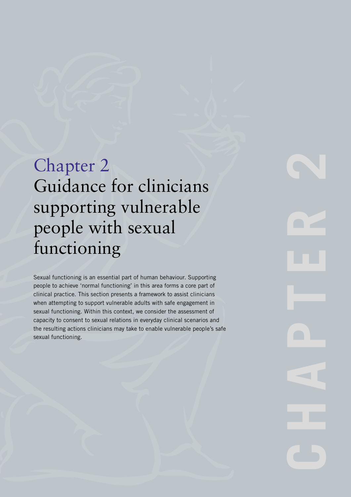# Chapter 2 Guidance for clinicians supporting vulnerable people with sexual functioning

Sexual functioning is an essential part of human behaviour. Supporting people to achieve 'normal functioning' in this area forms a core part of clinical practice. This section presents a framework to assist clinicians when attempting to support vulnerable adults with safe engagement in sexual functioning. Within this context, we consider the assessment of capacity to consent to sexual relations in everyday clinical scenarios and the resulting actions clinicians may take to enable vulnerable people's safe sexual functioning.

**CHAPTER**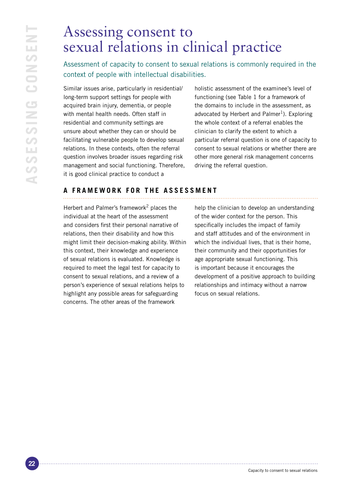# Assessing consent to sexual relations in clinical practice

Assessment of capacity to consent to sexual relations is commonly required in the context of people with intellectual disabilities.

Similar issues arise, particularly in residential/ long-term support settings for people with acquired brain injury, dementia, or people with mental health needs. Often staff in residential and community settings are unsure about whether they can or should be facilitating vulnerable people to develop sexual relations. In these contexts, often the referral question involves broader issues regarding risk management and social functioning. Therefore, it is good clinical practice to conduct a

holistic assessment of the examinee's level of functioning (see Table 1 for a framework of the domains to include in the assessment, as advocated by Herbert and Palmer<sup>1</sup>). Exploring the whole context of a referral enables the clinician to clarify the extent to which a particular referral question is one of capacity to consent to sexual relations or whether there are other more general risk management concerns driving the referral question.

# **A FRAMEWORK FOR THE ASSESSMENT**

Herbert and Palmer's framework<sup>2</sup> places the individual at the heart of the assessment and considers first their personal narrative of relations, then their disability and how this might limit their decision-making ability. Within this context, their knowledge and experience of sexual relations is evaluated. Knowledge is required to meet the legal test for capacity to consent to sexual relations, and a review of a person's experience of sexual relations helps to highlight any possible areas for safeguarding concerns. The other areas of the framework

help the clinician to develop an understanding of the wider context for the person. This specifically includes the impact of family and staff attitudes and of the environment in which the individual lives, that is their home. their community and their opportunities for age appropriate sexual functioning. This is important because it encourages the development of a positive approach to building relationships and intimacy without a narrow focus on sexual relations.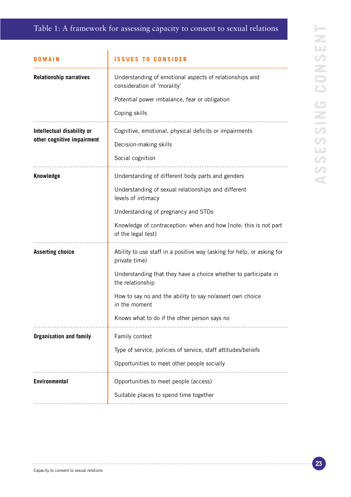## Table 1: A framework for assessing capacity to consent to sexual relations

| DOMAIN                                                   | <b>ISSUES TO CONSIDER</b>                                                               |
|----------------------------------------------------------|-----------------------------------------------------------------------------------------|
| <b>Relationship narratives</b>                           | Understanding of emotional aspects of relationships and<br>consideration of 'morality'  |
|                                                          | Potential power imbalance, fear or obligation                                           |
|                                                          | Coping skills                                                                           |
| Intellectual disability or<br>other cognitive impairment | Cognitive, emotional, physical deficits or impairments                                  |
|                                                          | Decision-making skills                                                                  |
|                                                          | Social cognition                                                                        |
| <b>Knowledge</b>                                         | Understanding of different body parts and genders                                       |
|                                                          | Understanding of sexual relationships and different<br>levels of intimacy               |
|                                                          | Understanding of pregnancy and STDs                                                     |
|                                                          | Knowledge of contraception: when and how [note: this is not part<br>of the legal test]  |
| <b>Asserting choice</b>                                  | Ability to use staff in a positive way (asking for help, or asking for<br>private time) |
|                                                          | Understanding that they have a choice whether to participate in<br>the relationship     |
|                                                          | How to say no and the ability to say no/assert own choice<br>in the moment              |
|                                                          | Knows what to do if the other person says no                                            |
| <b>Organisation and family</b>                           | Family context                                                                          |
|                                                          | Type of service, policies of service, staff attitudes/beliefs                           |
|                                                          | Opportunities to meet other people socially                                             |
| <b>Environmental</b>                                     | Opportunities to meet people (access)                                                   |
|                                                          | Suitable places to spend time together                                                  |
|                                                          |                                                                                         |

. . . . . . . . . . . . . . . .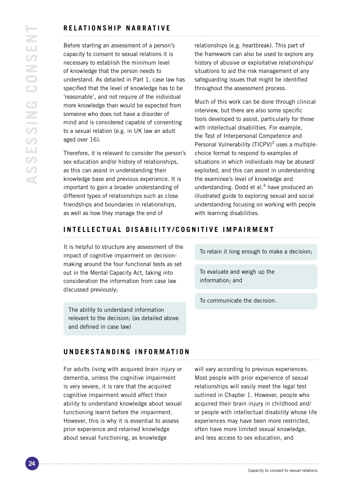#### **RELATIONSHIP NARRATI V E**

Before starting an assessment of a person's capacity to consent to sexual relations it is necessary to establish the minimum level of knowledge that the person needs to understand. As detailed in Part 1, case law has specified that the level of knowledge has to be 'reasonable', and not require of the individual more knowledge than would be expected from someone who does not have a disorder of mind and is considered capable of consenting to a sexual relation (e.g. in UK law an adult aged over 16).

Therefore, it is relevant to consider the person's sex education and/or history of relationships, as this can assist in understanding their knowledge base and previous experience. It is important to gain a broader understanding of different types of relationships such as close friendships and boundaries in relationships, as well as how they manage the end of

relationships (e.g. heartbreak). This part of the framework can also be used to explore any history of abusive or exploitative relationships/ situations to aid the risk management of any safeguarding issues that might be identified throughout the assessment process.

Much of this work can be done through clinical interview, but there are also some specific tools developed to assist, particularly for those with intellectual disabilities. For example, the Test of Interpersonal Competence and Personal Vulnerability (TICPV) $3$  uses a multiplechoice format to respond to examples of situations in which individuals may be abused/ exploited, and this can assist in understanding the examinee's level of knowledge and understanding. Dodd et al.<sup>4</sup> have produced an illustrated guide to exploring sexual and social understanding focusing on working with people with learning disabilities.

### **INTELLECTUAL DISABILITY/COGNITIVE IMPAIRMENT**

It is helpful to structure any assessment of the impact of cognitive impairment on decisionmaking around the four functional tests as set out in the Mental Capacity Act, taking into consideration the information from case law discussed previously;

The ability to understand information relevant to the decision; (as detailed above and defined in case law)

To retain it long enough to make a decision;

To evaluate and weigh up the information; and

To communicate the decision.

#### **UNDERSTANDING INFORMATION**

For adults living with acquired brain injury or dementia, unless the cognitive impairment is very severe, it is rare that the acquired cognitive impairment would affect their ability to understand knowledge about sexual functioning learnt before the impairment. However, this is why it is essential to assess prior experience and retained knowledge about sexual functioning, as knowledge

will vary according to previous experiences. Most people with prior experience of sexual relationships will easily meet the legal test outlined in Chapter 1. However, people who acquired their brain injury in childhood and/ or people with intellectual disability whose life experiences may have been more restricted, often have more limited sexual knowledge, and less access to sex education, and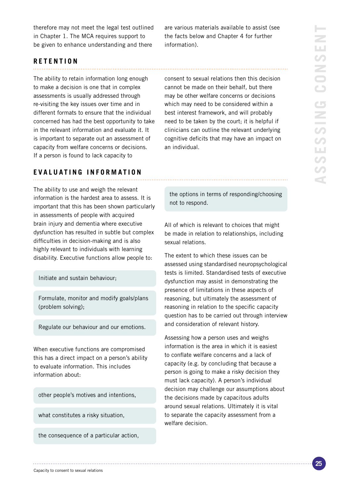therefore may not meet the legal test outlined in Chapter 1. The MCA requires support to be given to enhance understanding and there

are various materials available to assist (see the facts below and Chapter 4 for further information).

### **RETENTION**

The ability to retain information long enough to make a decision is one that in complex assessments is usually addressed through re-visiting the key issues over time and in different formats to ensure that the individual concerned has had the best opportunity to take in the relevant information and evaluate it. It is important to separate out an assessment of capacity from welfare concerns or decisions. If a person is found to lack capacity to

#### **E V ALUATING INFORMATION**

The ability to use and weigh the relevant information is the hardest area to assess. It is important that this has been shown particularly in assessments of people with acquired brain injury and dementia where executive dysfunction has resulted in subtle but complex difficulties in decision-making and is also highly relevant to individuals with learning disability. Executive functions allow people to:

Initiate and sustain behaviour;

Formulate, monitor and modify goals/plans (problem solving);

Regulate our behaviour and our emotions.

When executive functions are compromised this has a direct impact on a person's ability to evaluate information. This includes information about:

other people's motives and intentions,

what constitutes a risky situation,

the consequence of a particular action,

consent to sexual relations then this decision cannot be made on their behalf, but there may be other welfare concerns or decisions which may need to be considered within a best interest framework, and will probably need to be taken by the court; it is helpful if clinicians can outline the relevant underlying cognitive deficits that may have an impact on an individual.

the options in terms of responding/choosing not to respond.

All of which is relevant to choices that might be made in relation to relationships, including sexual relations.

The extent to which these issues can be assessed using standardised neuropsychological tests is limited. Standardised tests of executive dysfunction may assist in demonstrating the presence of limitations in these aspects of reasoning, but ultimately the assessment of reasoning in relation to the specific capacity question has to be carried out through interview and consideration of relevant history.

Assessing how a person uses and weighs information is the area in which it is easiest to conflate welfare concerns and a lack of capacity (e.g. by concluding that because a person is going to make a risky decision they must lack capacity). A person's individual decision may challenge our assumptions about the decisions made by capacitous adults around sexual relations. Ultimately it is vital to separate the capacity assessment from a welfare decision.

Capacity to consent to sexual relations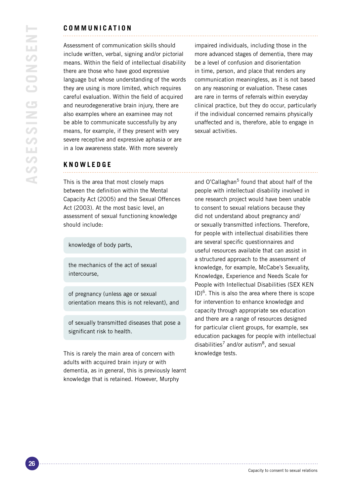#### **COMMUNICATION**

Assessment of communication skills should include written, verbal, signing and/or pictorial means. Within the field of intellectual disability there are those who have good expressive language but whose understanding of the words they are using is more limited, which requires careful evaluation. Within the field of acquired and neurodegenerative brain injury, there are also examples where an examinee may not be able to communicate successfully by any means, for example, if they present with very severe receptive and expressive aphasia or are in a low awareness state. With more severely

impaired individuals, including those in the more advanced stages of dementia, there may be a level of confusion and disorientation in time, person, and place that renders any communication meaningless, as it is not based on any reasoning or evaluation. These cases are rare in terms of referrals within everyday clinical practice, but they do occur, particularly if the individual concerned remains physically unaffected and is, therefore, able to engage in sexual activities.

#### **KNOWLEDGE**

This is the area that most closely maps between the definition within the Mental Capacity Act (2005) and the Sexual Offences Act (2003). At the most basic level, an assessment of sexual functioning knowledge should include:

knowledge of body parts,

the mechanics of the act of sexual intercourse,

of pregnancy (unless age or sexual orientation means this is not relevant), and

of sexually transmitted diseases that pose a significant risk to health.

This is rarely the main area of concern with adults with acquired brain injury or with dementia, as in general, this is previously learnt knowledge that is retained. However, Murphy

and O'Callaghan<sup>5</sup> found that about half of the people with intellectual disability involved in one research project would have been unable to consent to sexual relations because they did not understand about pregnancy and/ or sexually transmitted infections. Therefore, for people with intellectual disabilities there are several specific questionnaires and useful resources available that can assist in a structured approach to the assessment of knowledge, for example, McCabe's Sexuality, Knowledge, Experience and Needs Scale for People with Intellectual Disabilities (SEX KEN  $ID)^6$ . This is also the area where there is scope for intervention to enhance knowledge and capacity through appropriate sex education and there are a range of resources designed for particular client groups, for example, sex education packages for people with intellectual disabilities<sup>7</sup> and/or autism<sup>8</sup>, and sexual knowledge tests.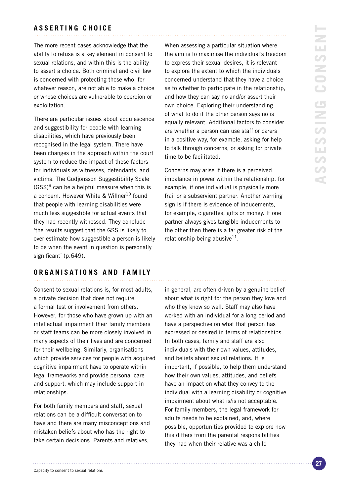#### **ASSERTING CHOICE**

The more recent cases acknowledge that the ability to refuse is a key element in consent to sexual relations, and within this is the ability to assert a choice. Both criminal and civil law is concerned with protecting those who, for whatever reason, are not able to make a choice or whose choices are vulnerable to coercion or exploitation.

There are particular issues about acquiescence and suggestibility for people with learning disabilities, which have previously been recognised in the legal system. There have been changes in the approach within the court system to reduce the impact of these factors for individuals as witnesses, defendants, and victims. The Gudjonsson Suggestibility Scale  $(GSS)^9$  can be a helpful measure when this is a concern. However White & Willner<sup>10</sup> found that people with learning disabilities were much less suggestible for actual events that they had recently witnessed. They conclude 'the results suggest that the GSS is likely to over-estimate how suggestible a person is likely to be when the event in question is personally significant' (p.649).

**ORGANISATIONS AND FAMILY**

Consent to sexual relations is, for most adults, a private decision that does not require a formal test or involvement from others. However, for those who have grown up with an intellectual impairment their family members or staff teams can be more closely involved in many aspects of their lives and are concerned for their wellbeing. Similarly, organisations which provide services for people with acquired cognitive impairment have to operate within legal frameworks and provide personal care and support, which may include support in relationships.

For both family members and staff, sexual relations can be a difficult conversation to have and there are many misconceptions and mistaken beliefs about who has the right to take certain decisions. Parents and relatives,

When assessing a particular situation where the aim is to maximise the individual's freedom to express their sexual desires, it is relevant to explore the extent to which the individuals concerned understand that they have a choice as to whether to participate in the relationship, and how they can say no and/or assert their own choice. Exploring their understanding of what to do if the other person says no is equally relevant. Additional factors to consider are whether a person can use staff or carers in a positive way, for example, asking for help to talk through concerns, or asking for private time to be facilitated.

Concerns may arise if there is a perceived imbalance in power within the relationship, for example, if one individual is physically more frail or a subservient partner. Another warning sign is if there is evidence of inducements, for example, cigarettes, gifts or money. If one partner always gives tangible inducements to the other then there is a far greater risk of the relationship being abusive<sup>11</sup>.

in general, are often driven by a genuine belief about what is right for the person they love and who they know so well. Staff may also have worked with an individual for a long period and have a perspective on what that person has expressed or desired in terms of relationships. In both cases, family and staff are also individuals with their own values, attitudes, and beliefs about sexual relations. It is important, if possible, to help them understand how their own values, attitudes, and beliefs have an impact on what they convey to the individual with a learning disability or cognitive impairment about what is/is not acceptable. For family members, the legal framework for adults needs to be explained, and, where possible, opportunities provided to explore how this differs from the parental responsibilities they had when their relative was a child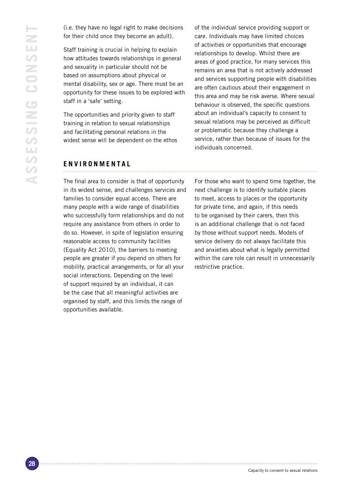(i.e. they have no legal right to make decisions for their child once they become an adult).

Staff training is crucial in helping to explain how attitudes towards relationships in general and sexuality in particular should not be based on assumptions about physical or mental disability, sex or age. There must be an opportunity for these issues to be explored with staff in a 'safe' setting.

The opportunities and priority given to staff training in relation to sexual relationships and facilitating personal relations in the widest sense will be dependent on the ethos of the individual service providing support or care. Individuals may have limited choices of activities or opportunities that encourage relationships to develop. Whilst there are areas of good practice, for many services this remains an area that is not actively addressed and services supporting people with disabilities are often cautious about their engagement in this area and may be risk averse. Where sexual behaviour is observed, the specific questions about an individual's capacity to consent to sexual relations may be perceived as difficult or problematic because they challenge a service, rather than because of issues for the individuals concerned.

#### **E N V IRONMENTAL**

The final area to consider is that of opportunity in its widest sense, and challenges services and families to consider equal access. There are many people with a wide range of disabilities who successfully form relationships and do not require any assistance from others in order to do so. However, in spite of legislation ensuring reasonable access to community facilities (Equality Act 2010), the barriers to meeting people are greater if you depend on others for mobility, practical arrangements, or for all your social interactions. Depending on the level of support required by an individual, it can be the case that all meaningful activities are organised by staff, and this limits the range of opportunities available.

For those who want to spend time together, the next challenge is to identify suitable places to meet, access to places or the opportunity for private time, and again, if this needs to be organised by their carers, then this is an additional challenge that is not faced by those without support needs. Models of service delivery do not always facilitate this and anxieties about what is legally permitted within the care role can result in unnecessarily restrictive practice.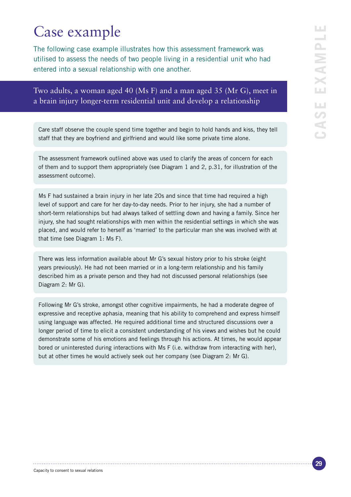# LШ **Case example**  $\overline{\phantom{a}}$ XAMP ш **LLI**  $\bullet$ Ġ

# Case example

The following case example illustrates how this assessment framework was utilised to assess the needs of two people living in a residential unit who had entered into a sexual relationship with one another.

Two adults, a woman aged 40 (Ms F) and a man aged 35 (Mr G), meet in a brain injury longer-term residential unit and develop a relationship

Care staff observe the couple spend time together and begin to hold hands and kiss, they tell staff that they are boyfriend and girlfriend and would like some private time alone.

The assessment framework outlined above was used to clarify the areas of concern for each of them and to support them appropriately (see Diagram 1 and 2, p.31, for illustration of the assessment outcome).

Ms F had sustained a brain injury in her late 20s and since that time had required a high level of support and care for her day-to-day needs. Prior to her injury, she had a number of short-term relationships but had always talked of settling down and having a family. Since her injury, she had sought relationships with men within the residential settings in which she was placed, and would refer to herself as 'married' to the particular man she was involved with at that time (see Diagram 1: Ms F).

There was less information available about Mr G's sexual history prior to his stroke (eight years previously). He had not been married or in a long-term relationship and his family described him as a private person and they had not discussed personal relationships (see Diagram 2: Mr G).

Following Mr G's stroke, amongst other cognitive impairments, he had a moderate degree of expressive and receptive aphasia, meaning that his ability to comprehend and express himself using language was affected. He required additional time and structured discussions over a longer period of time to elicit a consistent understanding of his views and wishes but he could demonstrate some of his emotions and feelings through his actions. At times, he would appear bored or uninterested during interactions with Ms F (i.e. withdraw from interacting with her), but at other times he would actively seek out her company (see Diagram 2: Mr G).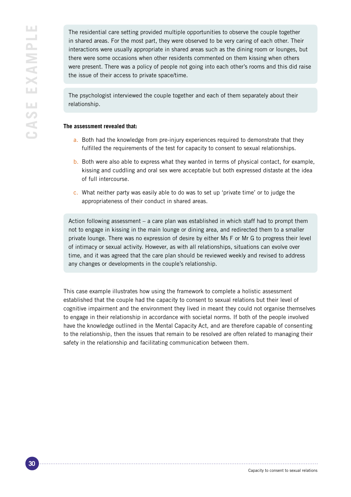The residential care setting provided multiple opportunities to observe the couple together in shared areas. For the most part, they were observed to be very caring of each other. Their interactions were usually appropriate in shared areas such as the dining room or lounges, but there were some occasions when other residents commented on them kissing when others were present. There was a policy of people not going into each other's rooms and this did raise the issue of their access to private space/time.

The psychologist interviewed the couple together and each of them separately about their relationship.

#### **The assessment revealed that:**

- a. Both had the knowledge from pre-injury experiences required to demonstrate that they fulfilled the requirements of the test for capacity to consent to sexual relationships.
- b. Both were also able to express what they wanted in terms of physical contact, for example, kissing and cuddling and oral sex were acceptable but both expressed distaste at the idea of full intercourse.
- c. What neither party was easily able to do was to set up 'private time' or to judge the appropriateness of their conduct in shared areas.

Action following assessment – a care plan was established in which staff had to prompt them not to engage in kissing in the main lounge or dining area, and redirected them to a smaller private lounge. There was no expression of desire by either Ms F or Mr G to progress their level of intimacy or sexual activity. However, as with all relationships, situations can evolve over time, and it was agreed that the care plan should be reviewed weekly and revised to address any changes or developments in the couple's relationship.

This case example illustrates how using the framework to complete a holistic assessment established that the couple had the capacity to consent to sexual relations but their level of cognitive impairment and the environment they lived in meant they could not organise themselves to engage in their relationship in accordance with societal norms. If both of the people involved have the knowledge outlined in the Mental Capacity Act, and are therefore capable of consenting to the relationship, then the issues that remain to be resolved are often related to managing their safety in the relationship and facilitating communication between them.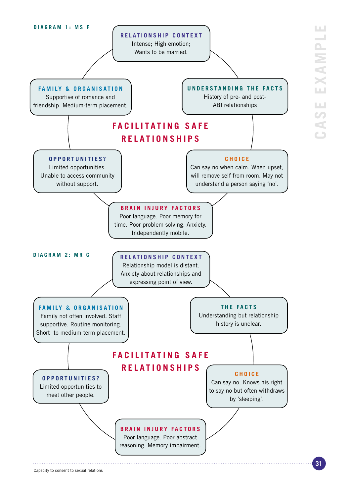

**Case example**

Ш

LЦ  $\bullet$ 

ك

XAMP

Ш  $\sim$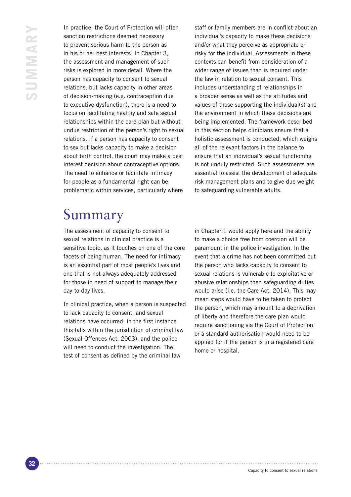In practice, the Court of Protection will often sanction restrictions deemed necessary to prevent serious harm to the person as in his or her best interests. In Chapter 3, the assessment and management of such risks is explored in more detail. Where the person has capacity to consent to sexual relations, but lacks capacity in other areas of decision-making (e.g. contraception due to executive dysfunction), there is a need to focus on facilitating healthy and safe sexual relationships within the care plan but without undue restriction of the person's right to sexual relations. If a person has capacity to consent to sex but lacks capacity to make a decision about birth control, the court may make a best interest decision about contraceptive options. The need to enhance or facilitate intimacy for people as a fundamental right can be problematic within services, particularly where

staff or family members are in conflict about an individual's capacity to make these decisions and/or what they perceive as appropriate or risky for the individual. Assessments in these contexts can benefit from consideration of a wider range of issues than is required under the law in relation to sexual consent. This includes understanding of relationships in a broader sense as well as the attitudes and values of those supporting the individual(s) and the environment in which these decisions are being implemented. The framework described in this section helps clinicians ensure that a holistic assessment is conducted, which weighs all of the relevant factors in the balance to ensure that an individual's sexual functioning is not unduly restricted. Such assessments are essential to assist the development of adequate risk management plans and to give due weight to safeguarding vulnerable adults.

# Summary

The assessment of capacity to consent to sexual relations in clinical practice is a sensitive topic, as it touches on one of the core facets of being human. The need for intimacy is an essential part of most people's lives and one that is not always adequately addressed for those in need of support to manage their day-to-day lives.

In clinical practice, when a person is suspected to lack capacity to consent, and sexual relations have occurred, in the first instance this falls within the jurisdiction of criminal law (Sexual Offences Act, 2003), and the police will need to conduct the investigation. The test of consent as defined by the criminal law

in Chapter 1 would apply here and the ability to make a choice free from coercion will be paramount in the police investigation. In the event that a crime has not been committed but the person who lacks capacity to consent to sexual relations is vulnerable to exploitative or abusive relationships then safeguarding duties would arise (i.e. the Care Act, 2014). This may mean steps would have to be taken to protect the person, which may amount to a deprivation of liberty and therefore the care plan would require sanctioning via the Court of Protection or a standard authorisation would need to be applied for if the person is in a registered care home or hospital.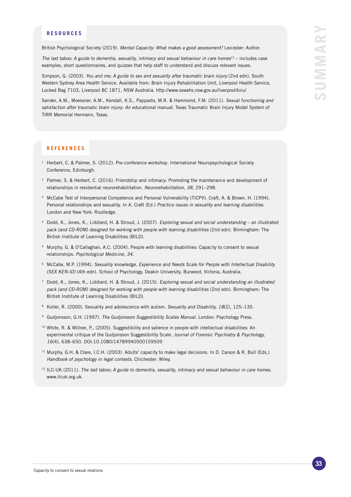#### **RESOURCES**

British Psychological Society (2019). Mental Capacity: What makes a good assessment? Leicester: Author.

The last taboo: A guide to dementia, sexuality, intimacy and sexual behaviour in care homes<sup>12</sup> – includes case examples, short questionnaires, and quizzes that help staff to understand and discuss relevant issues.

Simpson, G. (2003). You and me: A guide to sex and sexuality after traumatic brain injury (2nd edn). South Western Sydney Area Health Service. Available from: Brain Injury Rehabilitation Unit, Liverpool Health Service, Locked Bag 7103, Liverpool BC 1871, NSW Australia. http://www.sswahs.nsw.gov.au/liverpool/biru/

Sander, A.M., Moessner, A.M., Kendall, K.S., Pappadis, M.R. & Hammond, F.M. (2011). Sexual functioning and satisfaction after traumatic brain injury: An educational manual. Texas Traumatic Brain Injury Model System of TIRR Memorial Hermann, Texas.

#### **REFERENCES**

- <sup>1</sup> Herbert, C. & Palmer, S. (2012). Pre-conference workshop. International Neuropsychological Society Conference, Edinburgh.
- <sup>2</sup> Palmer, S. & Herbert, C. (2016). Friendship and intimacy: Promoting the maintenance and development of relationships in residential neurorehabilitation. Neurorehabilitation, 38, 291–298.
- <sup>3</sup> McCabe Test of Interpersonal Competence and Personal Vulnerability (TICPV). Craft, A. & Brown, H. (1994). Personal relationships and sexuality. In A. Craft (Ed.) Practice issues in sexuality and learning disabilities. London and New York: Routledge.
- <sup>4</sup> Dodd, K., Jones, K., Liddiard, H. & Stroud, J. (2007). Exploring sexual and social understanding an illustrated pack (and CD-ROM) designed for working with people with learning disabilities (2nd edn). Birmingham: The British Institute of Learning Disabilities (BILD).
- <sup>5</sup> Murphy, G. & O'Callaghan, A.C. (2004). People with learning disabilities: Capacity to consent to sexual relationships. Psychological Medicine, 34.
- <sup>6</sup> McCabe, M.P. (1994). Sexuality knowledge, Experience and Needs Scale for People with Intellectual Disability (SEX KEN-ID) (4th edn). School of Psychology, Deakin University, Burwood, Victoria, Australia.
- <sup>7</sup> Dodd, K., Jones, K., Liddiard, H. & Stroud, J. (2015). Exploring sexual and social understanding an illustrated pack (and CD-ROM) designed for working with people with learning disabilities (2nd edn). Birmingham: The British Institute of Learning Disabilities (BILD).
- <sup>8</sup> Koller, R. (2000). Sexuality and adolescence with autism. Sexuality and Disability, 18(2), 125-135.
- <sup>9</sup> Gudjonsson, G.H. (1997). The Gudjonsson Suggestibility Scales Manual. London: Psychology Press.
- <sup>10</sup> White, R. & Willner, P., (2005). Suggestibility and salience in people with intellectual disabilities: An experimental critique of the Gudjonsson Suggestibility Scale. Journal of Forensic Psychiatry & Psychology, 16(4), 638–650. DOI:10.1080/14789940500159509
- <sup>11</sup> Murphy, G.H. & Clare, I.C.H. (2003). Adults' capacity to make legal decisions. In D. Carson & R. Bull (Eds.) Handbook of psychology in legal contexts. Chichester: Wiley.
- $12$  ILC-UK (2011). The last taboo: A guide to dementia, sexuality, intimacy and sexual behaviour in care homes. www.ilcuk.org.uk.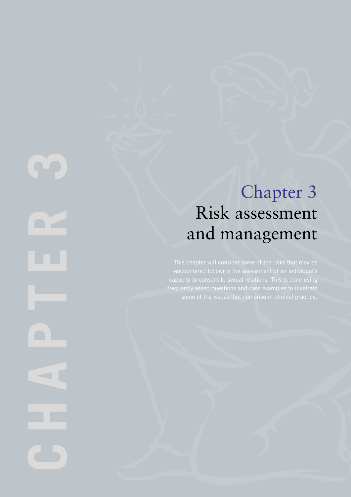# Chapter 3 Risk assessment and management

CHAPTER 3  $\blacksquare$  $\overline{\phantom{a}}$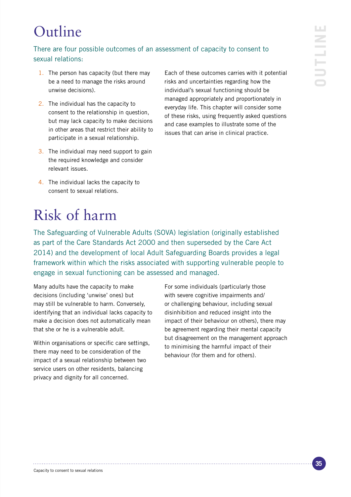# Outline

## There are four possible outcomes of an assessment of capacity to consent to sexual relations:

- 1. The person has capacity (but there may be a need to manage the risks around unwise decisions).
- 2. The individual has the capacity to consent to the relationship in question, but may lack capacity to make decisions in other areas that restrict their ability to participate in a sexual relationship.
- 3. The individual may need support to gain the required knowledge and consider relevant issues.

Each of these outcomes carries with it potential risks and uncertainties regarding how the individual's sexual functioning should be managed appropriately and proportionately in everyday life. This chapter will consider some of these risks, using frequently asked questions and case examples to illustrate some of the issues that can arise in clinical practice.

4. The individual lacks the capacity to consent to sexual relations.

# Risk of harm

The Safeguarding of Vulnerable Adults (SOVA) legislation (originally established as part of the Care Standards Act 2000 and then superseded by the Care Act 2014) and the development of local Adult Safeguarding Boards provides a legal framework within which the risks associated with supporting vulnerable people to engage in sexual functioning can be assessed and managed.

Many adults have the capacity to make decisions (including 'unwise' ones) but may still be vulnerable to harm. Conversely, identifying that an individual lacks capacity to make a decision does not automatically mean that she or he is a vulnerable adult.

Within organisations or specific care settings, there may need to be consideration of the impact of a sexual relationship between two service users on other residents, balancing privacy and dignity for all concerned.

For some individuals (particularly those with severe cognitive impairments and/ or challenging behaviour, including sexual disinhibition and reduced insight into the impact of their behaviour on others), there may be agreement regarding their mental capacity but disagreement on the management approach to minimising the harmful impact of their behaviour (for them and for others).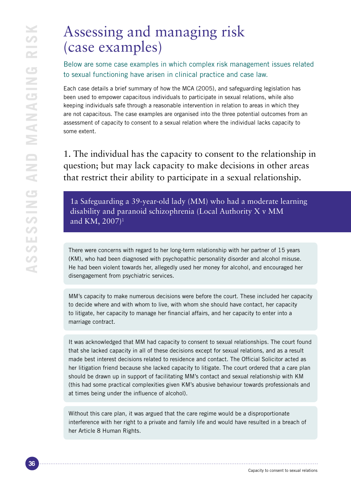# Assessing and managing risk (case examples)

Below are some case examples in which complex risk management issues related to sexual functioning have arisen in clinical practice and case law.

Each case details a brief summary of how the MCA (2005), and safeguarding legislation has been used to empower capacitous individuals to participate in sexual relations, while also keeping individuals safe through a reasonable intervention in relation to areas in which they are not capacitous. The case examples are organised into the three potential outcomes from an assessment of capacity to consent to a sexual relation where the individual lacks capacity to some extent.

1. The individual has the capacity to consent to the relationship in question; but may lack capacity to make decisions in other areas that restrict their ability to participate in a sexual relationship.

1a Safeguarding a 39-year-old lady (MM) who had a moderate learning disability and paranoid schizophrenia (Local Authority X v MM and KM, 2007)<sup>1</sup>

There were concerns with regard to her long-term relationship with her partner of 15 years (KM), who had been diagnosed with psychopathic personality disorder and alcohol misuse. He had been violent towards her, allegedly used her money for alcohol, and encouraged her disengagement from psychiatric services.

MM's capacity to make numerous decisions were before the court. These included her capacity to decide where and with whom to live, with whom she should have contact, her capacity to litigate, her capacity to manage her financial affairs, and her capacity to enter into a marriage contract.

It was acknowledged that MM had capacity to consent to sexual relationships. The court found that she lacked capacity in all of these decisions except for sexual relations, and as a result made best interest decisions related to residence and contact. The Official Solicitor acted as her litigation friend because she lacked capacity to litigate. The court ordered that a care plan should be drawn up in support of facilitating MM's contact and sexual relationship with KM (this had some practical complexities given KM's abusive behaviour towards professionals and at times being under the influence of alcohol).

Without this care plan, it was argued that the care regime would be a disproportionate interference with her right to a private and family life and would have resulted in a breach of her Article 8 Human Rights.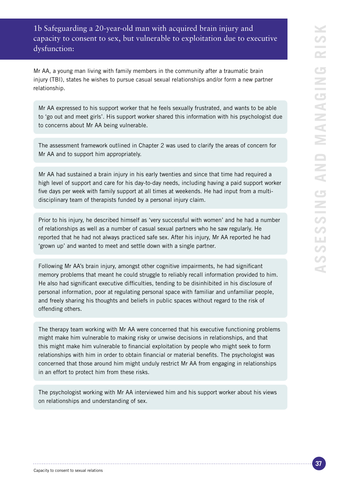### 1b Safeguarding a 20-year-old man with acquired brain injury and capacity to consent to sex, but vulnerable to exploitation due to executive dysfunction:

Mr AA, a young man living with family members in the community after a traumatic brain injury (TBI), states he wishes to pursue casual sexual relationships and/or form a new partner relationship.

Mr AA expressed to his support worker that he feels sexually frustrated, and wants to be able to 'go out and meet girls'. His support worker shared this information with his psychologist due to concerns about Mr AA being vulnerable.

The assessment framework outlined in Chapter 2 was used to clarify the areas of concern for Mr AA and to support him appropriately.

Mr AA had sustained a brain injury in his early twenties and since that time had required a high level of support and care for his day-to-day needs, including having a paid support worker five days per week with family support at all times at weekends. He had input from a multidisciplinary team of therapists funded by a personal injury claim.

Prior to his injury, he described himself as 'very successful with women' and he had a number of relationships as well as a number of casual sexual partners who he saw regularly. He reported that he had not always practiced safe sex. After his injury, Mr AA reported he had 'grown up' and wanted to meet and settle down with a single partner.

Following Mr AA's brain injury, amongst other cognitive impairments, he had significant memory problems that meant he could struggle to reliably recall information provided to him. He also had significant executive difficulties, tending to be disinhibited in his disclosure of personal information, poor at regulating personal space with familiar and unfamiliar people, and freely sharing his thoughts and beliefs in public spaces without regard to the risk of offending others.

The therapy team working with Mr AA were concerned that his executive functioning problems might make him vulnerable to making risky or unwise decisions in relationships, and that this might make him vulnerable to financial exploitation by people who might seek to form relationships with him in order to obtain financial or material benefits. The psychologist was concerned that those around him might unduly restrict Mr AA from engaging in relationships in an effort to protect him from these risks.

The psychologist working with Mr AA interviewed him and his support worker about his views on relationships and understanding of sex.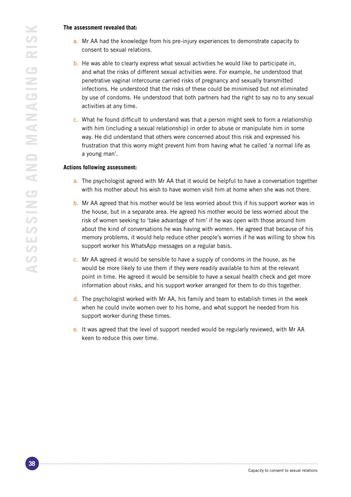#### **The assessment revealed that:**

- a. Mr AA had the knowledge from his pre-injury experiences to demonstrate capacity to consent to sexual relations.
- b. He was able to clearly express what sexual activities he would like to participate in, and what the risks of different sexual activities were. For example, he understood that penetrative vaginal intercourse carried risks of pregnancy and sexually transmitted infections. He understood that the risks of these could be minimised but not eliminated by use of condoms. He understood that both partners had the right to say no to any sexual activities at any time.
- c. What he found difficult to understand was that a person might seek to form a relationship with him (including a sexual relationship) in order to abuse or manipulate him in some way. He did understand that others were concerned about this risk and expressed his frustration that this worry might prevent him from having what he called 'a normal life as a young man'.

#### **Actions following assessment:**

- a. The psychologist agreed with Mr AA that it would be helpful to have a conversation together with his mother about his wish to have women visit him at home when she was not there.
- b. Mr AA agreed that his mother would be less worried about this if his support worker was in the house, but in a separate area. He agreed his mother would be less worried about the risk of women seeking to 'take advantage of him' if he was open with those around him about the kind of conversations he was having with women. He agreed that because of his memory problems, it would help reduce other people's worries if he was willing to show his support worker his WhatsApp messages on a regular basis.
- c. Mr AA agreed it would be sensible to have a supply of condoms in the house, as he would be more likely to use them if they were readily available to him at the relevant point in time. He agreed it would be sensible to have a sexual health check and get more information about risks, and his support worker arranged for them to do this together.
- d. The psychologist worked with Mr AA, his family and team to establish times in the week when he could invite women over to his home, and what support he needed from his support worker during these times.
- e. It was agreed that the level of support needed would be regularly reviewed, with Mr AA keen to reduce this over time.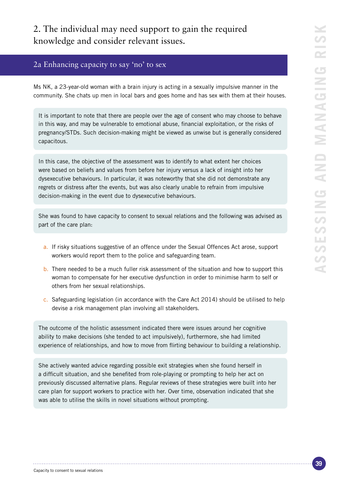## 2. The individual may need support to gain the required knowledge and consider relevant issues.

#### 2a Enhancing capacity to say 'no' to sex

Ms NK, a 23-year-old woman with a brain injury is acting in a sexually impulsive manner in the community. She chats up men in local bars and goes home and has sex with them at their houses.

It is important to note that there are people over the age of consent who may choose to behave in this way, and may be vulnerable to emotional abuse, financial exploitation, or the risks of pregnancy/STDs. Such decision-making might be viewed as unwise but is generally considered capacitous.

In this case, the objective of the assessment was to identify to what extent her choices were based on beliefs and values from before her injury versus a lack of insight into her dysexecutive behaviours. In particular, it was noteworthy that she did not demonstrate any regrets or distress after the events, but was also clearly unable to refrain from impulsive decision-making in the event due to dysexecutive behaviours.

She was found to have capacity to consent to sexual relations and the following was advised as part of the care plan:

- a. If risky situations suggestive of an offence under the Sexual Offences Act arose, support workers would report them to the police and safeguarding team.
- b. There needed to be a much fuller risk assessment of the situation and how to support this woman to compensate for her executive dysfunction in order to minimise harm to self or others from her sexual relationships.
- c. Safeguarding legislation (in accordance with the Care Act 2014) should be utilised to help devise a risk management plan involving all stakeholders.

The outcome of the holistic assessment indicated there were issues around her cognitive ability to make decisions (she tended to act impulsively), furthermore, she had limited experience of relationships, and how to move from flirting behaviour to building a relationship.

She actively wanted advice regarding possible exit strategies when she found herself in a difficult situation, and she benefited from role-playing or prompting to help her act on previously discussed alternative plans. Regular reviews of these strategies were built into her care plan for support workers to practice with her. Over time, observation indicated that she was able to utilise the skills in novel situations without prompting.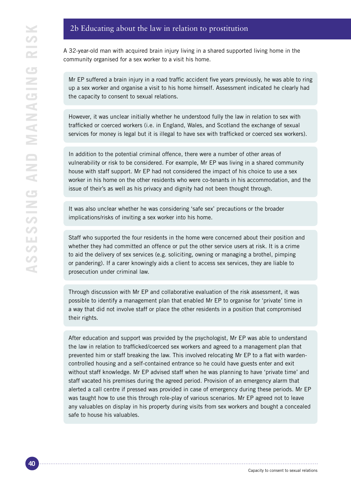#### 2b Educating about the law in relation to prostitution

A 32-year-old man with acquired brain injury living in a shared supported living home in the community organised for a sex worker to a visit his home.

Mr EP suffered a brain injury in a road traffic accident five years previously, he was able to ring up a sex worker and organise a visit to his home himself. Assessment indicated he clearly had the capacity to consent to sexual relations.

However, it was unclear initially whether he understood fully the law in relation to sex with trafficked or coerced workers (i.e. in England, Wales, and Scotland the exchange of sexual services for money is legal but it is illegal to have sex with trafficked or coerced sex workers).

In addition to the potential criminal offence, there were a number of other areas of vulnerability or risk to be considered. For example, Mr EP was living in a shared community house with staff support. Mr EP had not considered the impact of his choice to use a sex worker in his home on the other residents who were co-tenants in his accommodation, and the issue of their's as well as his privacy and dignity had not been thought through.

It was also unclear whether he was considering 'safe sex' precautions or the broader implications/risks of inviting a sex worker into his home.

Staff who supported the four residents in the home were concerned about their position and whether they had committed an offence or put the other service users at risk. It is a crime to aid the delivery of sex services (e.g. soliciting, owning or managing a brothel, pimping or pandering). If a carer knowingly aids a client to access sex services, they are liable to prosecution under criminal law.

Through discussion with Mr EP and collaborative evaluation of the risk assessment, it was possible to identify a management plan that enabled Mr EP to organise for 'private' time in a way that did not involve staff or place the other residents in a position that compromised their rights.

After education and support was provided by the psychologist, Mr EP was able to understand the law in relation to trafficked/coerced sex workers and agreed to a management plan that prevented him or staff breaking the law. This involved relocating Mr EP to a flat with wardencontrolled housing and a self-contained entrance so he could have guests enter and exit without staff knowledge. Mr EP advised staff when he was planning to have 'private time' and staff vacated his premises during the agreed period. Provision of an emergency alarm that alerted a call centre if pressed was provided in case of emergency during these periods. Mr EP was taught how to use this through role-play of various scenarios. Mr EP agreed not to leave any valuables on display in his property during visits from sex workers and bought a concealed safe to house his valuables.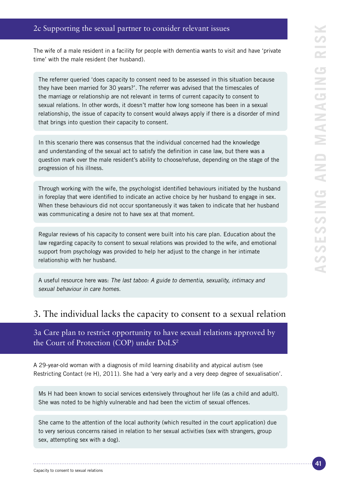The wife of a male resident in a facility for people with dementia wants to visit and have 'private time' with the male resident (her husband).

The referrer queried 'does capacity to consent need to be assessed in this situation because they have been married for 30 years?'. The referrer was advised that the timescales of the marriage or relationship are not relevant in terms of current capacity to consent to sexual relations. In other words, it doesn't matter how long someone has been in a sexual relationship, the issue of capacity to consent would always apply if there is a disorder of mind that brings into question their capacity to consent.

In this scenario there was consensus that the individual concerned had the knowledge and understanding of the sexual act to satisfy the definition in case law, but there was a question mark over the male resident's ability to choose/refuse, depending on the stage of the progression of his illness.

Through working with the wife, the psychologist identified behaviours initiated by the husband in foreplay that were identified to indicate an active choice by her husband to engage in sex. When these behaviours did not occur spontaneously it was taken to indicate that her husband was communicating a desire not to have sex at that moment.

Regular reviews of his capacity to consent were built into his care plan. Education about the law regarding capacity to consent to sexual relations was provided to the wife, and emotional support from psychology was provided to help her adjust to the change in her intimate relationship with her husband.

A useful resource here was: The last taboo: A guide to dementia, sexuality, intimacy and sexual behaviour in care homes.

## 3. The individual lacks the capacity to consent to a sexual relation

3a Care plan to restrict opportunity to have sexual relations approved by the Court of Protection (COP) under DoLS<sup>2</sup>

A 29-year-old woman with a diagnosis of mild learning disability and atypical autism (see Restricting Contact (re H), 2011). She had a 'very early and a very deep degree of sexualisation'.

Ms H had been known to social services extensively throughout her life (as a child and adult). She was noted to be highly vulnerable and had been the victim of sexual offences.

She came to the attention of the local authority (which resulted in the court application) due to very serious concerns raised in relation to her sexual activities (sex with strangers, group sex, attempting sex with a dog).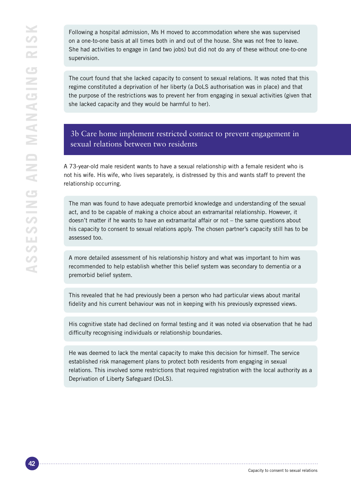Following a hospital admission, Ms H moved to accommodation where she was supervised on a one-to-one basis at all times both in and out of the house. She was not free to leave. She had activities to engage in (and two jobs) but did not do any of these without one-to-one supervision.

The court found that she lacked capacity to consent to sexual relations. It was noted that this regime constituted a deprivation of her liberty (a DoLS authorisation was in place) and that the purpose of the restrictions was to prevent her from engaging in sexual activities (given that she lacked capacity and they would be harmful to her).

### 3b Care home implement restricted contact to prevent engagement in sexual relations between two residents

A 73-year-old male resident wants to have a sexual relationship with a female resident who is not his wife. His wife, who lives separately, is distressed by this and wants staff to prevent the relationship occurring.

The man was found to have adequate premorbid knowledge and understanding of the sexual act, and to be capable of making a choice about an extramarital relationship. However, it doesn't matter if he wants to have an extramarital affair or not – the same questions about his capacity to consent to sexual relations apply. The chosen partner's capacity still has to be assessed too.

A more detailed assessment of his relationship history and what was important to him was recommended to help establish whether this belief system was secondary to dementia or a premorbid belief system.

This revealed that he had previously been a person who had particular views about marital fidelity and his current behaviour was not in keeping with his previously expressed views.

His cognitive state had declined on formal testing and it was noted via observation that he had difficulty recognising individuals or relationship boundaries.

He was deemed to lack the mental capacity to make this decision for himself. The service established risk management plans to protect both residents from engaging in sexual relations. This involved some restrictions that required registration with the local authority as a Deprivation of Liberty Safeguard (DoLS).

Capacity to consent to sexual relations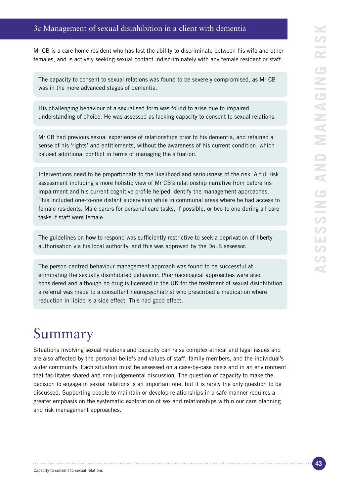### 3c Management of sexual disinhibition in a client with dementia

Mr CB is a care home resident who has lost the ability to discriminate between his wife and other females, and is actively seeking sexual contact indiscriminately with any female resident or staff.

The capacity to consent to sexual relations was found to be severely compromised, as Mr CB was in the more advanced stages of dementia.

His challenging behaviour of a sexualised form was found to arise due to impaired understanding of choice. He was assessed as lacking capacity to consent to sexual relations.

Mr CB had previous sexual experience of relationships prior to his dementia, and retained a sense of his 'rights' and entitlements, without the awareness of his current condition, which caused additional conflict in terms of managing the situation.

Interventions need to be proportionate to the likelihood and seriousness of the risk. A full risk assessment including a more holistic view of Mr CB's relationship narrative from before his impairment and his current cognitive profile helped identify the management approaches. This included one-to-one distant supervision while in communal areas where he had access to female residents. Male carers for personal care tasks, if possible, or two to one during all care tasks if staff were female.

The guidelines on how to respond was sufficiently restrictive to seek a deprivation of liberty authorisation via his local authority, and this was approved by the DoLS assessor.

The person-centred behaviour management approach was found to be successful at eliminating the sexually disinhibited behaviour. Pharmacological approaches were also considered and although no drug is licensed in the UK for the treatment of sexual disinhibition a referral was made to a consultant neuropsychiatrist who prescribed a medication where reduction in libido is a side effect. This had good effect.

# Summary

Situations involving sexual relations and capacity can raise complex ethical and legal issues and are also affected by the personal beliefs and values of staff, family members, and the individual's wider community. Each situation must be assessed on a case-by-case basis and in an environment that facilitates shared and non-judgemental discussion. The question of capacity to make the decision to engage in sexual relations is an important one, but it is rarely the only question to be discussed. Supporting people to maintain or develop relationships in a safe manner requires a greater emphasis on the systematic exploration of sex and relationships within our care planning and risk management approaches.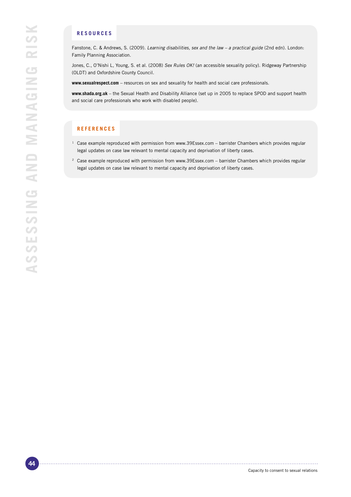#### **RESOURCES**

Fanstone, C. & Andrews, S. (2009). Learning disabilities, sex and the law - a practical guide (2nd edn). London: Family Planning Association.

Jones, C., O'Nishi L, Young, S. et al. (2008) Sex Rules OK! (an accessible sexuality policy). Ridgeway Partnership (OLDT) and Oxfordshire County Council.

**www.sexualrespect.com** – resources on sex and sexuality for health and social care professionals.

**www.shada.org.uk** – the Sexual Health and Disability Alliance (set up in 2005 to replace SPOD and support health and social care professionals who work with disabled people).

### **REFERENCES**

- $1$  Case example reproduced with permission from www.39Essex.com barrister Chambers which provides regular legal updates on case law relevant to mental capacity and deprivation of liberty cases.
- <sup>2</sup> Case example reproduced with permission from www.39Essex.com barrister Chambers which provides regular legal updates on case law relevant to mental capacity and deprivation of liberty cases.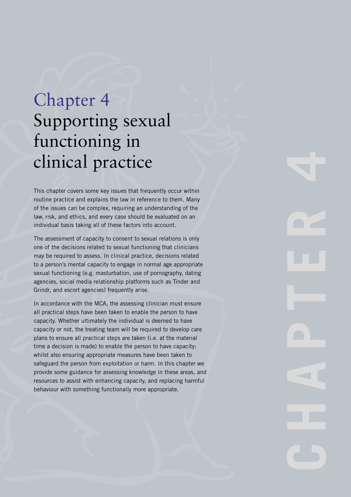# Chapter 4 Supporting sexual functioning in clinical practice

This chapter covers some key issues that frequently occur within routine practice and explains the law in reference to them. Many of the issues can be complex, requiring an understanding of the law, risk, and ethics, and every case should be evaluated on an individual basis taking all of these factors into account.

The assessment of capacity to consent to sexual relations is only one of the decisions related to sexual functioning that clinicians may be required to assess. In clinical practice, decisions related to a person's mental capacity to engage in normal age appropriate sexual functioning (e.g. masturbation, use of pornography, dating agencies, social media relationship platforms such as Tinder and Grindr, and escort agencies) frequently arise.

In accordance with the MCA, the assessing clinician must ensure all practical steps have been taken to enable the person to have capacity. Whether ultimately the individual is deemed to have capacity or not, the treating team will be required to develop care plans to ensure all practical steps are taken (i.e. at the material time a decision is made) to enable the person to have capacity; whilst also ensuring appropriate measures have been taken to safeguard the person from exploitation or harm. In this chapter we provide some guidance for assessing knowledge in these areas, and resources to assist with enhancing capacity, and replacing harmful behaviour with something functionally more appropriate.

CHAPTER 4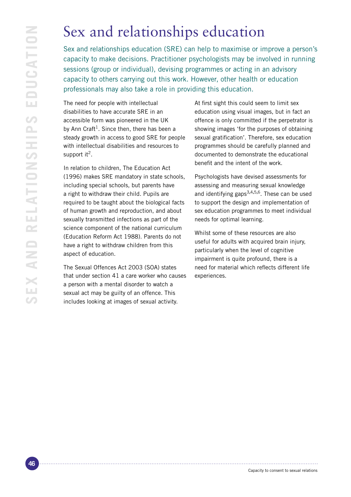# Sex and relationships education

Sex and relationships education (SRE) can help to maximise or improve a person's capacity to make decisions. Practitioner psychologists may be involved in running sessions (group or individual), devising programmes or acting in an advisory capacity to others carrying out this work. However, other health or education professionals may also take a role in providing this education.

The need for people with intellectual disabilities to have accurate SRE in an accessible form was pioneered in the UK by Ann Craft<sup>1</sup>. Since then, there has been a steady growth in access to good SRE for people with intellectual disabilities and resources to support it<sup>2</sup>.

In relation to children, The Education Act (1996) makes SRE mandatory in state schools, including special schools, but parents have a right to withdraw their child. Pupils are required to be taught about the biological facts of human growth and reproduction, and about sexually transmitted infections as part of the science component of the national curriculum (Education Reform Act 1988). Parents do not have a right to withdraw children from this aspect of education.

The Sexual Offences Act 2003 (SOA) states that under section 41 a care worker who causes a person with a mental disorder to watch a sexual act may be guilty of an offence. This includes looking at images of sexual activity.

At first sight this could seem to limit sex education using visual images, but in fact an offence is only committed if the perpetrator is showing images 'for the purposes of obtaining sexual gratification'. Therefore, sex education programmes should be carefully planned and documented to demonstrate the educational benefit and the intent of the work.

Psychologists have devised assessments for assessing and measuring sexual knowledge and identifying gaps3**,**4**,**5**,**6. These can be used to support the design and implementation of sex education programmes to meet individual needs for optimal learning.

Whilst some of these resources are also useful for adults with acquired brain injury, particularly when the level of cognitive impairment is quite profound, there is a need for material which reflects different life experiences.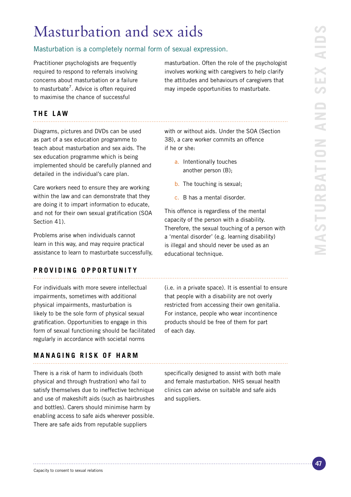# Masturbation and sex aids

### Masturbation is a completely normal form of sexual expression.

Practitioner psychologists are frequently required to respond to referrals involving concerns about masturbation or a failure to masturbate<sup>7</sup>. Advice is often required to maximise the chance of successful

masturbation. Often the role of the psychologist involves working with caregivers to help clarify the attitudes and behaviours of caregivers that may impede opportunities to masturbate.

## **THE LAW**

Diagrams, pictures and DVDs can be used as part of a sex education programme to teach about masturbation and sex aids. The sex education programme which is being implemented should be carefully planned and detailed in the individual's care plan.

Care workers need to ensure they are working within the law and can demonstrate that they are doing it to impart information to educate, and not for their own sexual gratification (SOA Section 41).

Problems arise when individuals cannot learn in this way, and may require practical assistance to learn to masturbate successfully,

### **PRO V I D I N G O P P O R T U N I T Y**

For individuals with more severe intellectual impairments, sometimes with additional physical impairments, masturbation is likely to be the sole form of physical sexual gratification. Opportunities to engage in this form of sexual functioning should be facilitated regularly in accordance with societal norms

### **MANAGING RISK OF HARM**

There is a risk of harm to individuals (both physical and through frustration) who fail to satisfy themselves due to ineffective technique and use of makeshift aids (such as hairbrushes and bottles). Carers should minimise harm by enabling access to safe aids wherever possible. There are safe aids from reputable suppliers

with or without aids. Under the SOA (Section 38), a care worker commits an offence if he or she:

- a. Intentionally touches another person (B);
- b. The touching is sexual;
- c. B has a mental disorder.

This offence is regardless of the mental capacity of the person with a disability. Therefore, the sexual touching of a person with a 'mental disorder' (e.g. learning disability) is illegal and should never be used as an educational technique.

(i.e. in a private space). It is essential to ensure that people with a disability are not overly restricted from accessing their own genitalia. For instance, people who wear incontinence products should be free of them for part of each day.

specifically designed to assist with both male and female masturbation. NHS sexual health clinics can advise on suitable and safe aids and suppliers.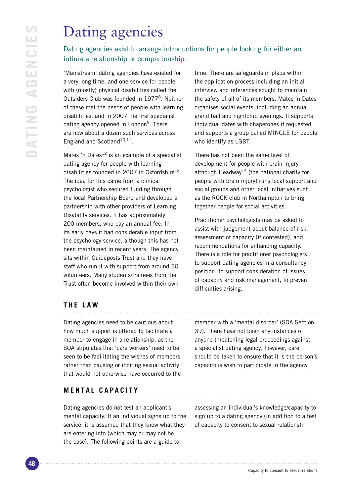# Dating agencies

## Dating agencies exist to arrange introductions for people looking for either an intimate relationship or companionship.

'Mainstream' dating agencies have existed for a very long time, and one service for people with (mostly) physical disabilities called the Outsiders Club was founded in 1977<sup>8</sup>. Neither of these met the needs of people with learning disabilities, and in 2007 the first specialist dating agency opened in London<sup>9</sup>. There are now about a dozen such services across England and Scotland<sup>10,11</sup>.

Mates 'n Dates<sup>12</sup> is an example of a specialist dating agency for people with learning disabilities founded in 2007 in Oxfordshire<sup>13</sup>. The idea for this came from a clinical psychologist who secured funding through the local Partnership Board and developed a partnership with other providers of Learning Disability services. It has approximately 200 members, who pay an annual fee. In its early days it had considerable input from the psychology service, although this has not been maintained in recent years. The agency sits within Guideposts Trust and they have staff who run it with support from around 20 volunteers. Many students/trainees from the Trust often become involved within their own

time. There are safeguards in place within the application process including an initial interview and references sought to maintain the safety of all of its members. Mates 'n Dates organises social events, including an annual grand ball and nightclub evenings. It supports individual dates with chaperones if requested and supports a group called MINGLE for people who identify as LGBT.

There has not been the same level of development for people with brain injury, although Headway<sup>14</sup> (the national charity for people with brain injury) runs local support and social groups and other local initiatives such as the ROCK club in Northampton to bring together people for social activities.

Practitioner psychologists may be asked to assist with judgement about balance of risk, assessment of capacity (if contested), and recommendations for enhancing capacity. There is a role for practitioner psychologists to support dating agencies in a consultancy position, to support consideration of issues of capacity and risk management, to prevent difficulties arising.

## **THE LAW**

Dating agencies need to be cautious about how much support is offered to facilitate a member to engage in a relationship, as the SOA stipulates that 'care workers' need to be seen to be facilitating the wishes of members, rather than causing or inciting sexual activity that would not otherwise have occurred to the

member with a 'mental disorder' (SOA Section 39). There have not been any instances of anyone threatening legal proceedings against a specialist dating agency; however, care should be taken to ensure that it is the person's capacitous wish to participate in the agency.

### **MENTAL CAPACITY**

Dating agencies do not test an applicant's mental capacity. If an individual signs up to the service, it is assumed that they know what they are entering into (which may or may not be the case). The following points are a guide to

assessing an individual's knowledge/capacity to sign up to a dating agency (in addition to a test of capacity to consent to sexual relations):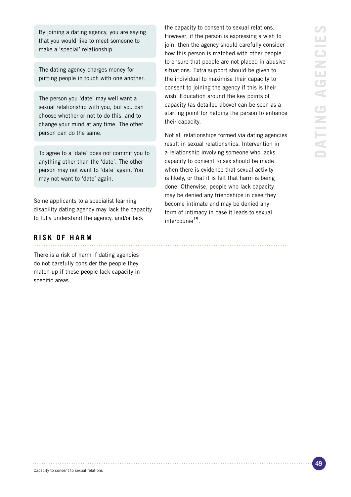By joining a dating agency, you are saying that you would like to meet someone to make a 'special' relationship.

The dating agency charges money for putting people in touch with one another.

The person you 'date' may well want a sexual relationship with you, but you can choose whether or not to do this, and to change your mind at any time. The other person can do the same.

To agree to a 'date' does not commit you to anything other than the 'date'. The other person may not want to 'date' again. You may not want to 'date' again.

Some applicants to a specialist learning disability dating agency may lack the capacity to fully understand the agency, and/or lack

#### **RISK OF HARM**

There is a risk of harm if dating agencies do not carefully consider the people they match up if these people lack capacity in specific areas.

the capacity to consent to sexual relations. However, if the person is expressing a wish to join, then the agency should carefully consider how this person is matched with other people to ensure that people are not placed in abusive situations. Extra support should be given to the individual to maximise their capacity to consent to joining the agency if this is their wish. Education around the key points of capacity (as detailed above) can be seen as a starting point for helping the person to enhance their capacity.

Not all relationships formed via dating agencies result in sexual relationships. Intervention in a relationship involving someone who lacks capacity to consent to sex should be made when there is evidence that sexual activity is likely, or that it is felt that harm is being done. Otherwise, people who lack capacity may be denied any friendships in case they become intimate and may be denied any form of intimacy in case it leads to sexual intercourse<sup>15</sup>.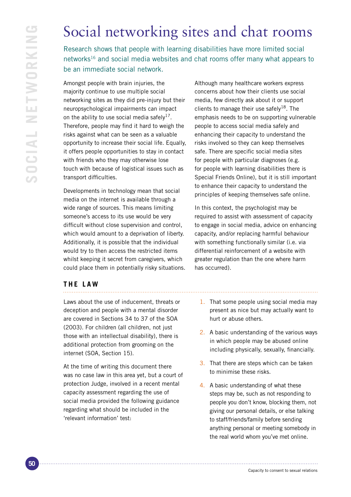# Social networking sites and chat rooms

Research shows that people with learning disabilities have more limited social networks<sup>16</sup> and social media websites and chat rooms offer many what appears to be an immediate social network.

Amongst people with brain injuries, the majority continue to use multiple social networking sites as they did pre-injury but their neuropsychological impairments can impact on the ability to use social media safely<sup>17</sup>. Therefore, people may find it hard to weigh the risks against what can be seen as a valuable opportunity to increase their social life. Equally, it offers people opportunities to stay in contact with friends who they may otherwise lose touch with because of logistical issues such as transport difficulties.

Developments in technology mean that social media on the internet is available through a wide range of sources. This means limiting someone's access to its use would be very difficult without close supervision and control, which would amount to a deprivation of liberty. Additionally, it is possible that the individual would try to then access the restricted items whilst keeping it secret from caregivers, which could place them in potentially risky situations. Although many healthcare workers express concerns about how their clients use social media, few directly ask about it or support clients to manage their use safely<sup>18</sup>. The emphasis needs to be on supporting vulnerable people to access social media safely and enhancing their capacity to understand the risks involved so they can keep themselves safe. There are specific social media sites for people with particular diagnoses (e.g. for people with learning disabilities there is Special Friends Online), but it is still important to enhance their capacity to understand the principles of keeping themselves safe online.

In this context, the psychologist may be required to assist with assessment of capacity to engage in social media, advice on enhancing capacity, and/or replacing harmful behaviour with something functionally similar (i.e. via differential reinforcement of a website with greater regulation than the one where harm has occurred).

## **THE LAW**

Laws about the use of inducement, threats or deception and people with a mental disorder are covered in Sections 34 to 37 of the SOA (2003). For children (all children, not just those with an intellectual disability), there is additional protection from grooming on the internet (SOA, Section 15).

At the time of writing this document there was no case law in this area yet, but a court of protection Judge, involved in a recent mental capacity assessment regarding the use of social media provided the following guidance regarding what should be included in the 'relevant information' test:

- 1. That some people using social media may present as nice but may actually want to hurt or abuse others.
- 2. A basic understanding of the various ways in which people may be abused online including physically, sexually, financially.
- 3. That there are steps which can be taken to minimise these risks.
- 4. A basic understanding of what these steps may be, such as not responding to people you don't know, blocking them, not giving our personal details, or else talking to staff/friends/family before sending anything personal or meeting somebody in the real world whom you've met online.

```
Capacity to consent to sexual relations
```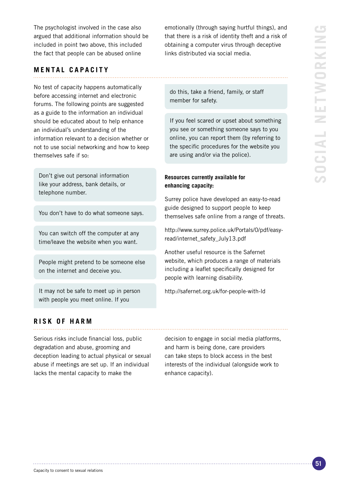**Social networking** NETWORKIN ē **INIOO** 

The psychologist involved in the case also argued that additional information should be included in point two above, this included the fact that people can be abused online

#### **MENTAL CAPACITY**

No test of capacity happens automatically before accessing internet and electronic forums. The following points are suggested as a guide to the information an individual should be educated about to help enhance an individual's understanding of the information relevant to a decision whether or not to use social networking and how to keep themselves safe if so:

Don't give out personal information like your address, bank details, or telephone number.

You don't have to do what someone says.

You can switch off the computer at any time/leave the website when you want.

People might pretend to be someone else on the internet and deceive you.

It may not be safe to meet up in person with people you meet online. If you

emotionally (through saying hurtful things), and that there is a risk of identity theft and a risk of obtaining a computer virus through deceptive links distributed via social media.

do this, take a friend, family, or staff member for safety.

If you feel scared or upset about something you see or something someone says to you online, you can report them (by referring to the specific procedures for the website you are using and/or via the police).

#### **Resources currently available for enhancing capacity:**

Surrey police have developed an easy-to-read guide designed to support people to keep themselves safe online from a range of threats.

http://www.surrey.police.uk/Portals/0/pdf/easyread/internet\_safety\_July13.pdf

Another useful resource is the Safernet website, which produces a range of materials including a leaflet specifically designed for people with learning disability.

http://safernet.org.uk/for-people-with-ld

#### **RISK OF HARM**

Serious risks include financial loss, public degradation and abuse, grooming and deception leading to actual physical or sexual abuse if meetings are set up. If an individual lacks the mental capacity to make the

decision to engage in social media platforms, and harm is being done, care providers can take steps to block access in the best interests of the individual (alongside work to enhance capacity).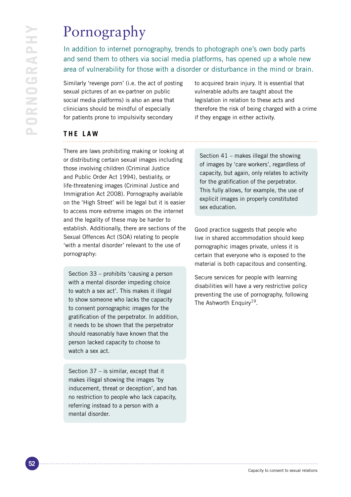# Pornography

In addition to internet pornography, trends to photograph one's own body parts and send them to others via social media platforms, has opened up a whole new area of vulnerability for those with a disorder or disturbance in the mind or brain.

Similarly 'revenge porn' (i.e. the act of posting sexual pictures of an ex-partner on public social media platforms) is also an area that clinicians should be mindful of especially for patients prone to impulsivity secondary

to acquired brain injury. It is essential that vulnerable adults are taught about the legislation in relation to these acts and therefore the risk of being charged with a crime if they engage in either activity.

## **THE LAW**

There are laws prohibiting making or looking at or distributing certain sexual images including those involving children (Criminal Justice and Public Order Act 1994), bestiality, or life-threatening images (Criminal Justice and Immigration Act 2008). Pornography available on the 'High Street' will be legal but it is easier to access more extreme images on the internet and the legality of these may be harder to establish. Additionally, there are sections of the Sexual Offences Act (SOA) relating to people 'with a mental disorder' relevant to the use of pornography:

Section 33 – prohibits 'causing a person with a mental disorder impeding choice to watch a sex act'. This makes it illegal to show someone who lacks the capacity to consent pornographic images for the gratification of the perpetrator. In addition, it needs to be shown that the perpetrator should reasonably have known that the person lacked capacity to choose to watch a sex act.

Section 37 – is similar, except that it makes illegal showing the images 'by inducement, threat or deception', and has no restriction to people who lack capacity, referring instead to a person with a mental disorder.

Section 41 – makes illegal the showing of images by 'care workers', regardless of capacity, but again, only relates to activity for the gratification of the perpetrator. This fully allows, for example, the use of explicit images in properly constituted sex education.

Good practice suggests that people who live in shared accommodation should keep pornographic images private, unless it is certain that everyone who is exposed to the material is both capacitous and consenting.

Secure services for people with learning disabilities will have a very restrictive policy preventing the use of pornography, following The Ashworth Enquiry<sup>19</sup>.

Capacity to consent to sexual relations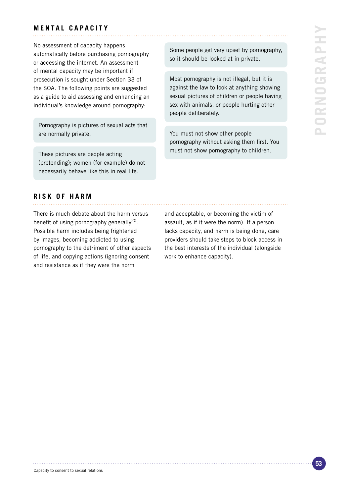### **MENTAL CAPACITY**

No assessment of capacity happens automatically before purchasing pornography or accessing the internet. An assessment of mental capacity may be important if prosecution is sought under Section 33 of the SOA. The following points are suggested as a guide to aid assessing and enhancing an individual's knowledge around pornography:

Pornography is pictures of sexual acts that are normally private.

These pictures are people acting (pretending); women (for example) do not necessarily behave like this in real life.

Some people get very upset by pornography, so it should be looked at in private.

Most pornography is not illegal, but it is against the law to look at anything showing sexual pictures of children or people having sex with animals, or people hurting other people deliberately.

You must not show other people pornography without asking them first. You must not show pornography to children.

#### **RISK OF HARM**

There is much debate about the harm versus benefit of using pornography generally<sup>20</sup>. Possible harm includes being frightened by images, becoming addicted to using pornography to the detriment of other aspects of life, and copying actions (ignoring consent and resistance as if they were the norm

and acceptable, or becoming the victim of assault, as if it were the norm). If a person lacks capacity, and harm is being done, care providers should take steps to block access in the best interests of the individual (alongside work to enhance capacity).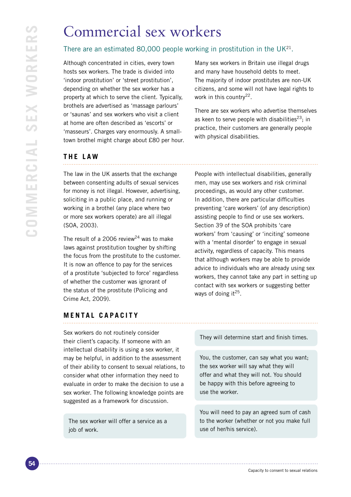# Commercial sex workers

### There are an estimated 80,000 people working in prostitution in the  $UK<sup>21</sup>$ .

Although concentrated in cities, every town hosts sex workers. The trade is divided into 'indoor prostitution' or 'street prostitution', depending on whether the sex worker has a property at which to serve the client. Typically, brothels are advertised as 'massage parlours' or 'saunas' and sex workers who visit a client at home are often described as 'escorts' or 'masseurs'. Charges vary enormously. A smalltown brothel might charge about £80 per hour.

Many sex workers in Britain use illegal drugs and many have household debts to meet. The majority of indoor prostitutes are non-UK citizens, and some will not have legal rights to work in this country<sup>22</sup>.

There are sex workers who advertise themselves as keen to serve people with disabilities<sup>23</sup>; in practice, their customers are generally people with physical disabilities.

### **THE LAW**

The law in the UK asserts that the exchange between consenting adults of sexual services for money is not illegal. However, advertising, soliciting in a public place, and running or working in a brothel (any place where two or more sex workers operate) are all illegal (SOA, 2003).

The result of a 2006 review<sup>24</sup> was to make laws against prostitution tougher by shifting the focus from the prostitute to the customer. It is now an offence to pay for the services of a prostitute 'subjected to force' regardless of whether the customer was ignorant of the status of the prostitute (Policing and Crime Act, 2009).

People with intellectual disabilities, generally men, may use sex workers and risk criminal proceedings, as would any other customer. In addition, there are particular difficulties preventing 'care workers' (of any description) assisting people to find or use sex workers. Section 39 of the SOA prohibits 'care workers' from 'causing' or 'inciting' someone with a 'mental disorder' to engage in sexual activity, regardless of capacity. This means that although workers may be able to provide advice to individuals who are already using sex workers, they cannot take any part in setting up contact with sex workers or suggesting better ways of doing it $^{25}$ .

## **MENTAL CAPACITY**

Sex workers do not routinely consider their client's capacity. If someone with an intellectual disability is using a sex worker, it may be helpful, in addition to the assessment of their ability to consent to sexual relations, to consider what other information they need to evaluate in order to make the decision to use a sex worker. The following knowledge points are suggested as a framework for discussion.

The sex worker will offer a service as a job of work.

They will determine start and finish times.

You, the customer, can say what you want; the sex worker will say what they will offer and what they will not. You should be happy with this before agreeing to use the worker.

You will need to pay an agreed sum of cash to the worker (whether or not you make full use of her/his service).

Capacity to consent to sexual relations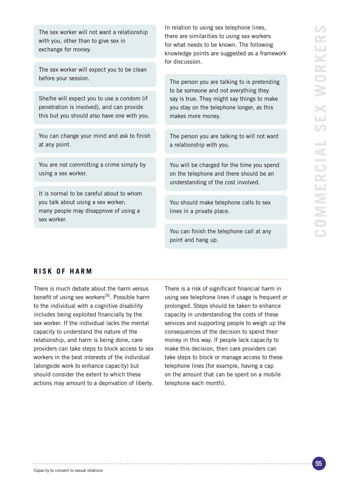The sex worker will not want a relationship with you, other than to give sex in exchange for money.

The sex worker will expect you to be clean before your session.

She/he will expect you to use a condom (if penetration is involved), and can provide this but you should also have one with you.

You can change your mind and ask to finish at any point.

You are not committing a crime simply by using a sex worker.

It is normal to be careful about to whom you talk about using a sex worker; many people may disapprove of using a sex worker.

In relation to using sex telephone lines, there are similarities to using sex workers for what needs to be known. The following knowledge points are suggested as a framework for discussion.

The person you are talking to is pretending to be someone and not everything they say is true. They might say things to make you stay on the telephone longer, as this makes more money.

The person you are talking to will not want a relationship with you.

You will be charged for the time you spend on the telephone and there should be an understanding of the cost involved.

You should make telephone calls to sex lines in a private place.

You can finish the telephone call at any point and hang up.

#### **RISK OF HARM**

There is much debate about the harm versus benefit of using sex workers<sup>26</sup>. Possible harm to the individual with a cognitive disability includes being exploited financially by the sex worker. If the individual lacks the mental capacity to understand the nature of the relationship, and harm is being done, care providers can take steps to block access to sex workers in the best interests of the individual (alongside work to enhance capacity) but should consider the extent to which these actions may amount to a deprivation of liberty.

There is a risk of significant financial harm in using sex telephone lines if usage is frequent or prolonged. Steps should be taken to enhance capacity in understanding the costs of these services and supporting people to weigh up the consequences of the decision to spend their money in this way. If people lack capacity to make this decision, then care providers can take steps to block or manage access to these telephone lines (for example, having a cap on the amount that can be spent on a mobile telephone each month).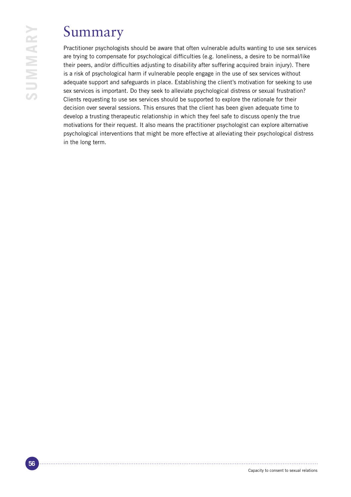# Summary

Practitioner psychologists should be aware that often vulnerable adults wanting to use sex services are trying to compensate for psychological difficulties (e.g. loneliness, a desire to be normal/like their peers, and/or difficulties adjusting to disability after suffering acquired brain injury). There is a risk of psychological harm if vulnerable people engage in the use of sex services without adequate support and safeguards in place. Establishing the client's motivation for seeking to use sex services is important. Do they seek to alleviate psychological distress or sexual frustration? Clients requesting to use sex services should be supported to explore the rationale for their decision over several sessions. This ensures that the client has been given adequate time to develop a trusting therapeutic relationship in which they feel safe to discuss openly the true motivations for their request. It also means the practitioner psychologist can explore alternative psychological interventions that might be more effective at alleviating their psychological distress in the long term.

**Summary**

SUMMARY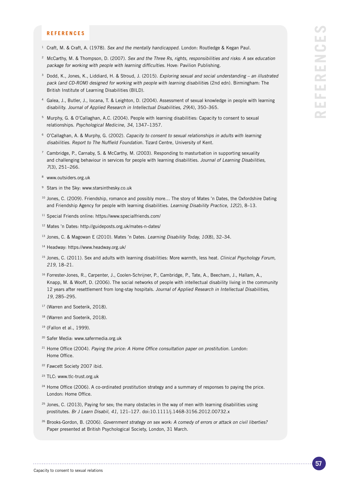#### **REFERENCES**

- <sup>1</sup> Craft, M. & Craft, A. (1978). Sex and the mentally handicapped. London: Routledge & Kegan Paul.
- <sup>2</sup> McCarthy, M. & Thompson, D. (2007). Sex and the Three Rs, rights, responsibilities and risks: A sex education package for working with people with learning difficulties. Hove: Pavilion Publishing.
- <sup>3</sup> Dodd, K., Jones, K., Liddiard, H. & Stroud, J. (2015). Exploring sexual and social understanding an illustrated pack (and CD-ROM) designed for working with people with learning disabilities (2nd edn). Birmingham: The British Institute of Learning Disabilities (BILD).
- <sup>4</sup> Galea, J., Butler, J., Iocana, T. & Leighton, D. (2004). Assessment of sexual knowledge in people with learning disability. Journal of Applied Research in Intellectual Disabilities, 29(4), 350–365.
- <sup>5</sup> Murphy, G. & O'Callaghan, A.C. (2004). People with learning disabilities: Capacity to consent to sexual relationships. Psychological Medicine, 34, 1347–1357.
- <sup>6</sup> O'Callaghan, A. & Murphy, G. (2002). Capacity to consent to sexual relationships in adults with learning disabilities. Report to The Nuffield Foundation. Tizard Centre, University of Kent.
- <sup>7</sup> Cambridge, P., Carnaby, S. & McCarthy, M. (2003). Responding to masturbation in supporting sexuality and challenging behaviour in services for people with learning disabilities. Journal of Learning Disabilities, 7(3), 251–266.
- <sup>8</sup> www.outsiders.org.uk
- <sup>9</sup> Stars in the Sky: www.starsinthesky.co.uk
- <sup>10</sup> Jones, C. (2009). Friendship, romance and possibly more... The story of Mates 'n Dates, the Oxfordshire Dating and Friendship Agency for people with learning disabilities. Learning Disability Practice, 12(2), 8–13.
- <sup>11</sup> Special Friends online: https://www.specialfriends.com/
- <sup>12</sup> Mates 'n Dates: http://guideposts.org.uk/mates-n-dates/
- <sup>13</sup> Jones, C. & Magowan E (2010). Mates 'n Dates. Learning Disability Today, 10(8), 32-34.
- <sup>14</sup> Headway: https://www.headway.org.uk/
- <sup>15</sup> Jones, C. (2011). Sex and adults with learning disabilities: More warmth, less heat. Clinical Psychology Forum, 219, 18–21.
- <sup>16</sup> Forrester-Jones, R., Carpenter, J., Coolen-Schrijner, P., Cambridge, P., Tate, A., Beecham, J., Hallam, A., Knapp, M. & Wooff, D. (2006). The social networks of people with intellectual disability living in the community 12 years after resettlement from long-stay hospitals. Journal of Applied Research in Intellectual Disabilities, 19, 285–295.
- <sup>17</sup> (Warren and Soeterik, 2018).
- 18 (Warren and Soeterik, 2018).
- <sup>19</sup> (Fallon et al., 1999).
- <sup>20</sup> Safer Media: www.safermedia.org.uk
- <sup>21</sup> Home Office (2004). Paying the price: A Home Office consultation paper on prostitution. London: Home Office.
- <sup>22</sup> Fawcett Society 2007 ibid.
- <sup>23</sup> TLC: www.tlc-trust.org.uk
- <sup>24</sup> Home Office (2006). A co-ordinated prostitution strategy and a summary of responses to paying the price. London: Home Office.
- $25$  Jones, C. (2013), Paying for sex; the many obstacles in the way of men with learning disabilities using prostitutes. Br J Learn Disabil, 41, 121–127. doi:10.1111/j.1468-3156.2012.00732.x
- <sup>26</sup> Brooks-Gordon, B. (2006). Government strategy on sex work: A comedy of errors or attack on civil liberties? Paper presented at British Psychological Society, London, 31 March.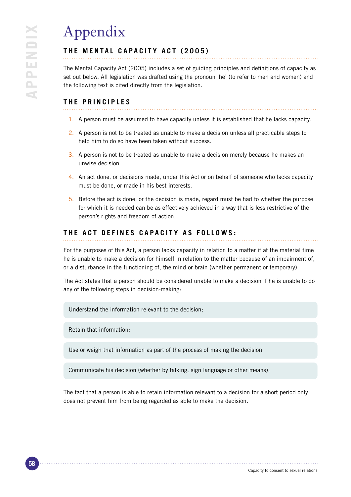# Appendix

## **THE MENTAL CAPACITY ACT (2005)**

The Mental Capacity Act (2005) includes a set of guiding principles and definitions of capacity as set out below. All legislation was drafted using the pronoun 'he' (to refer to men and women) and the following text is cited directly from the legislation.

## **THE PRINCIPLES**

- 1. A person must be assumed to have capacity unless it is established that he lacks capacity.
- 2. A person is not to be treated as unable to make a decision unless all practicable steps to help him to do so have been taken without success.
- 3. A person is not to be treated as unable to make a decision merely because he makes an unwise decision.
- 4. An act done, or decisions made, under this Act or on behalf of someone who lacks capacity must be done, or made in his best interests.
- 5. Before the act is done, or the decision is made, regard must be had to whether the purpose for which it is needed can be as effectively achieved in a way that is less restrictive of the person's rights and freedom of action.

## **THE ACT DEFINES CAPACITY AS FOLLOWS:**

For the purposes of this Act, a person lacks capacity in relation to a matter if at the material time he is unable to make a decision for himself in relation to the matter because of an impairment of, or a disturbance in the functioning of, the mind or brain (whether permanent or temporary).

The Act states that a person should be considered unable to make a decision if he is unable to do any of the following steps in decision-making:

Understand the information relevant to the decision;

Retain that information;

Use or weigh that information as part of the process of making the decision;

Communicate his decision (whether by talking, sign language or other means).

The fact that a person is able to retain information relevant to a decision for a short period only does not prevent him from being regarded as able to make the decision.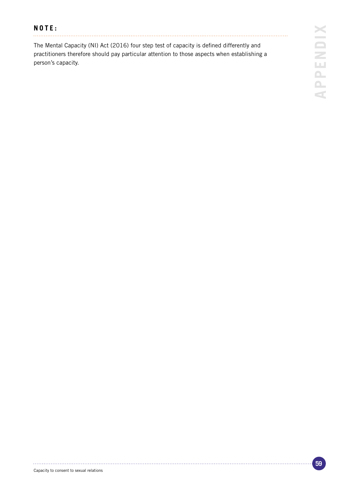# **NOTE:**

. . . . . . . . . . . . . . . .

The Mental Capacity (NI) Act (2016) four step test of capacity is defined differently and practitioners therefore should pay particular attention to those aspects when establishing a person's capacity.

. . . . . . .